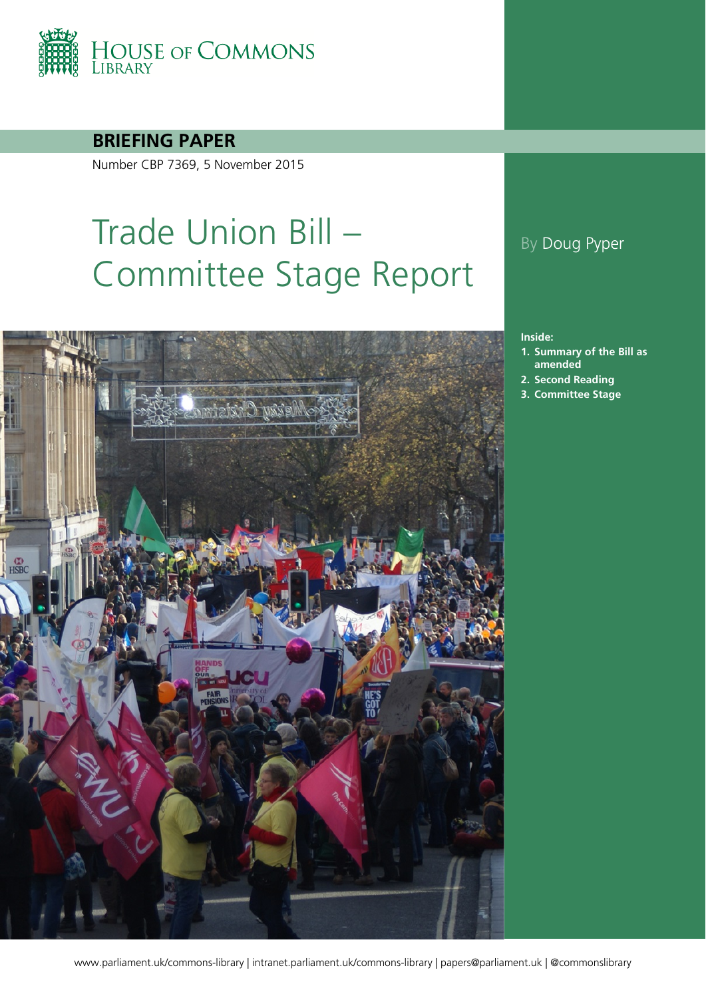

**BRIEFING PAPER**

Number CBP 7369, 5 November 2015

# Trade Union Bill – Committee Stage Report



### By Doug Pyper

#### **Inside:**

- **1. [Summary of the Bill as](#page-3-0)  [amended](#page-3-0)**
- **2. [Second Reading](#page-5-0)**
- **3. [Committee Stage](#page-7-0)**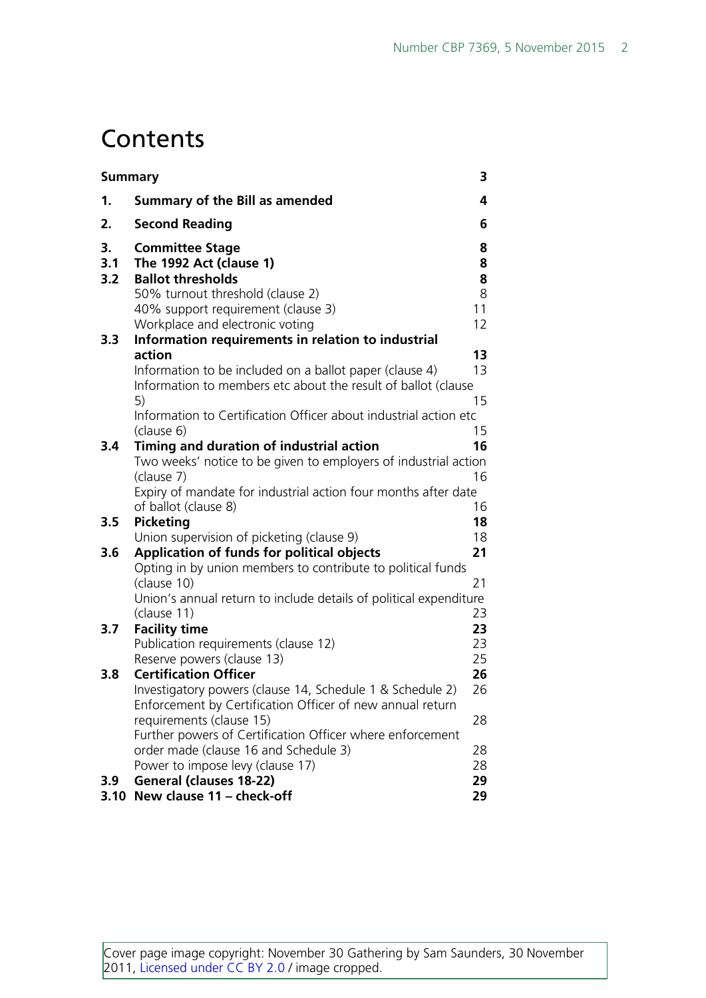## **Contents**

| <b>Summary</b>   |                                                                                                                                                                                                                            | 3                      |
|------------------|----------------------------------------------------------------------------------------------------------------------------------------------------------------------------------------------------------------------------|------------------------|
| 1.               | <b>Summary of the Bill as amended</b>                                                                                                                                                                                      | 4                      |
| 2.               | <b>Second Reading</b>                                                                                                                                                                                                      | 6                      |
| 3.<br>3.1<br>3.2 | <b>Committee Stage</b><br>The 1992 Act (clause 1)<br><b>Ballot thresholds</b><br>50% turnout threshold (clause 2)<br>40% support requirement (clause 3)                                                                    | 8<br>8<br>8<br>8<br>11 |
|                  | Workplace and electronic voting                                                                                                                                                                                            | 12                     |
| 3.3              | Information requirements in relation to industrial                                                                                                                                                                         |                        |
|                  | action<br>Information to be included on a ballot paper (clause 4)<br>Information to members etc about the result of ballot (clause<br>5)<br>Information to Certification Officer about industrial action etc<br>(clause 6) | 13<br>13<br>15<br>15   |
| 3.4              | Timing and duration of industrial action<br>Two weeks' notice to be given to employers of industrial action<br>(clause 7)<br>Expiry of mandate for industrial action four months after date<br>of ballot (clause 8)        | 16<br>16<br>16         |
| 3.5              | <b>Picketing</b>                                                                                                                                                                                                           | 18                     |
| 3.6              | Union supervision of picketing (clause 9)<br>Application of funds for political objects                                                                                                                                    | 18<br>21               |
|                  | Opting in by union members to contribute to political funds<br>(clause 10)<br>Union's annual return to include details of political expenditure<br>(clause 11)                                                             | 21<br>23               |
| 3.7              | <b>Facility time</b><br>Publication requirements (clause 12)<br>Reserve powers (clause 13)                                                                                                                                 | 23<br>23<br>25         |
| 3.8              | <b>Certification Officer</b><br>Investigatory powers (clause 14, Schedule 1 & Schedule 2)<br>Enforcement by Certification Officer of new annual return<br>requirements (clause 15)                                         | 26<br>26<br>28         |
|                  | Further powers of Certification Officer where enforcement<br>order made (clause 16 and Schedule 3)<br>Power to impose levy (clause 17)                                                                                     | 28<br>28               |
| 3.9<br>3.10      | <b>General (clauses 18-22)</b><br>New clause 11 - check-off                                                                                                                                                                | 29<br>29               |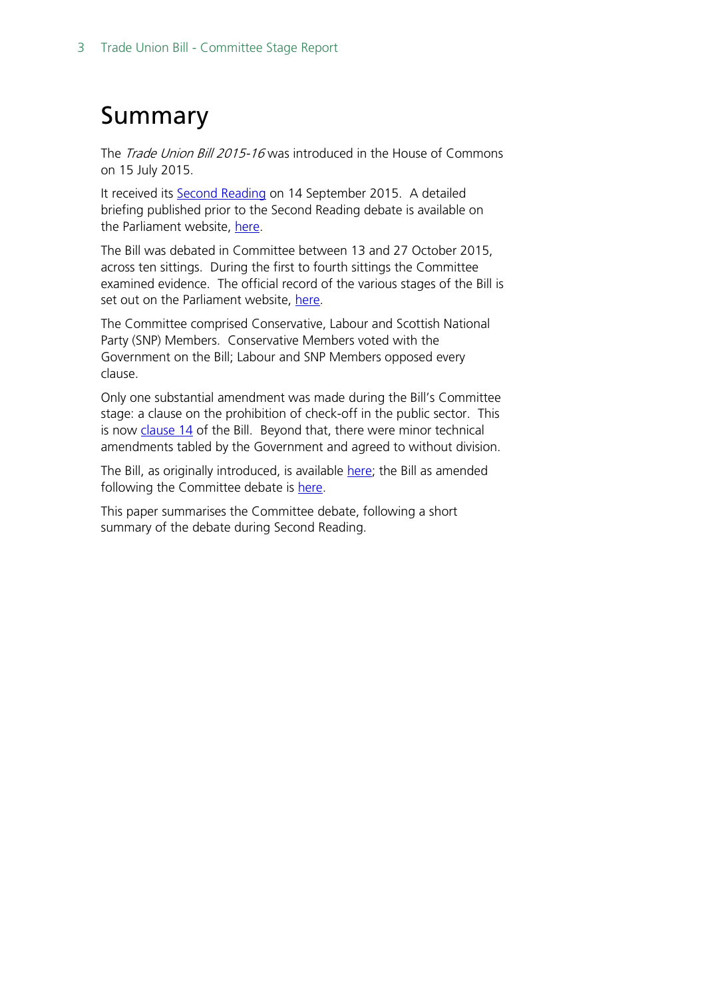## <span id="page-2-0"></span>Summary

The *Trade Union Bill 2015-16* was introduced in the House of Commons on 15 July 2015.

It received its **Second Reading on 14 September 2015.** A detailed briefing published prior to the Second Reading debate is available on the Parliament website, [here.](http://researchbriefings.parliament.uk/ResearchBriefing/Summary/CBP-7295)

The Bill was debated in Committee between 13 and 27 October 2015, across ten sittings. During the first to fourth sittings the Committee examined evidence. The official record of the various stages of the Bill is set out on the Parliament website, [here.](http://services.parliament.uk/bills/2015-16/tradeunion/stages.html)

The Committee comprised Conservative, Labour and Scottish National Party (SNP) Members. Conservative Members voted with the Government on the Bill; Labour and SNP Members opposed every clause.

Only one substantial amendment was made during the Bill's Committee stage: a clause on the prohibition of check-off in the public sector. This is now [clause 14](http://www.publications.parliament.uk/pa/bills/cbill/2015-2016/0086/cbill_2015-20160086_en_3.htm#l1g14) of the Bill. Beyond that, there were minor technical amendments tabled by the Government and agreed to without division.

The Bill, as originally introduced, is available [here;](http://www.publications.parliament.uk/pa/bills/cbill/2015-2016/0058/cbill_2015-20160058_en_1.htm) the Bill as amended following the Committee debate is [here.](http://www.publications.parliament.uk/pa/bills/cbill/2015-2016/0086/cbill_2015-20160086_en_1.htm)

This paper summarises the Committee debate, following a short summary of the debate during Second Reading.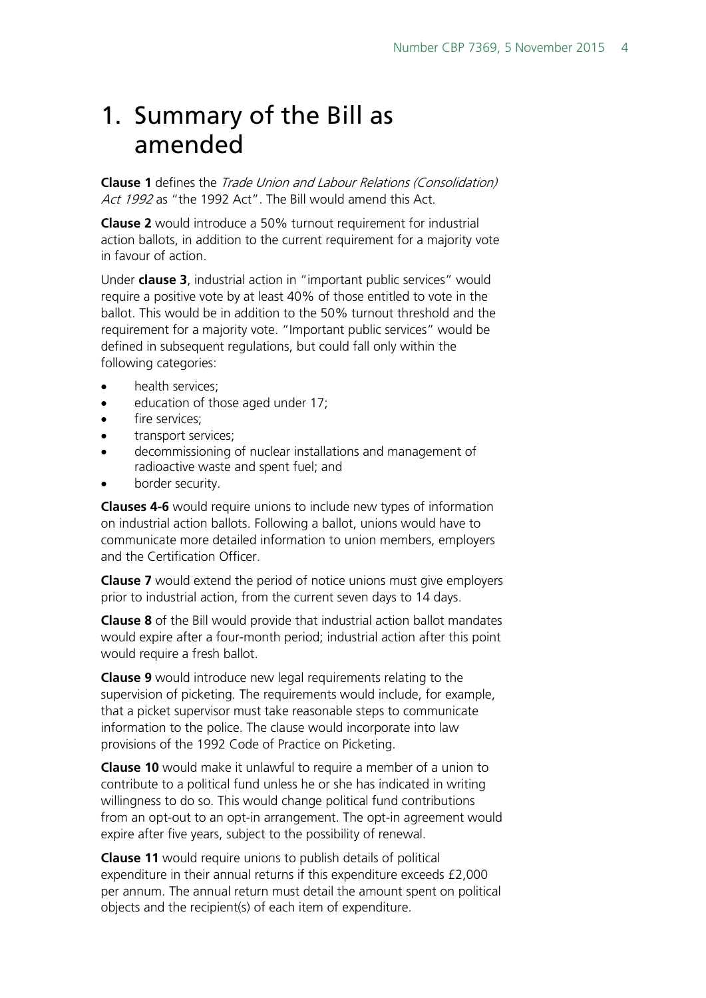## <span id="page-3-0"></span>1. Summary of the Bill as amended

**Clause 1** defines the Trade Union and Labour Relations (Consolidation) Act 1992 as "the 1992 Act". The Bill would amend this Act.

**Clause 2** would introduce a 50% turnout requirement for industrial action ballots, in addition to the current requirement for a majority vote in favour of action.

Under **clause 3**, industrial action in "important public services" would require a positive vote by at least 40% of those entitled to vote in the ballot. This would be in addition to the 50% turnout threshold and the requirement for a majority vote. "Important public services" would be defined in subsequent regulations, but could fall only within the following categories:

- health services:
- education of those aged under 17;
- fire services:
- transport services;
- decommissioning of nuclear installations and management of radioactive waste and spent fuel; and
- border security.

**Clauses 4-6** would require unions to include new types of information on industrial action ballots. Following a ballot, unions would have to communicate more detailed information to union members, employers and the Certification Officer.

**Clause 7** would extend the period of notice unions must give employers prior to industrial action, from the current seven days to 14 days.

**Clause 8** of the Bill would provide that industrial action ballot mandates would expire after a four-month period; industrial action after this point would require a fresh ballot.

**Clause 9** would introduce new legal requirements relating to the supervision of picketing. The requirements would include, for example, that a picket supervisor must take reasonable steps to communicate information to the police. The clause would incorporate into law provisions of the 1992 Code of Practice on Picketing.

**Clause 10** would make it unlawful to require a member of a union to contribute to a political fund unless he or she has indicated in writing willingness to do so. This would change political fund contributions from an opt-out to an opt-in arrangement. The opt-in agreement would expire after five years, subject to the possibility of renewal.

**Clause 11** would require unions to publish details of political expenditure in their annual returns if this expenditure exceeds £2,000 per annum. The annual return must detail the amount spent on political objects and the recipient(s) of each item of expenditure.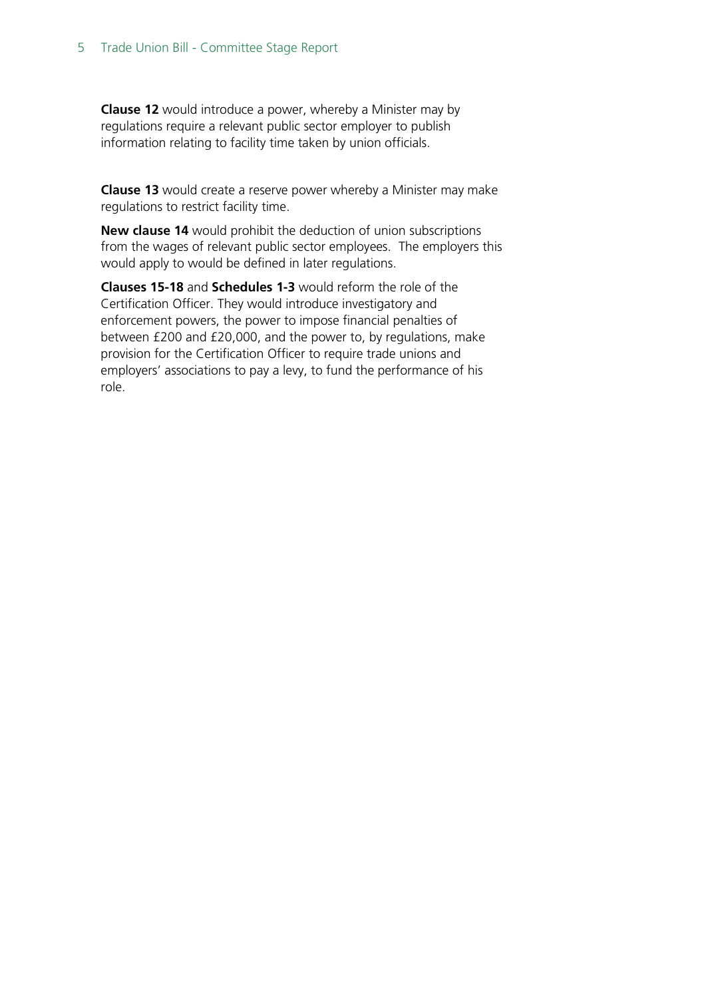**Clause 12** would introduce a power, whereby a Minister may by regulations require a relevant public sector employer to publish information relating to facility time taken by union officials.

**Clause 13** would create a reserve power whereby a Minister may make regulations to restrict facility time.

**New clause 14** would prohibit the deduction of union subscriptions from the wages of relevant public sector employees. The employers this would apply to would be defined in later regulations.

**Clauses 15-18** and **Schedules 1-3** would reform the role of the Certification Officer. They would introduce investigatory and enforcement powers, the power to impose financial penalties of between £200 and £20,000, and the power to, by regulations, make provision for the Certification Officer to require trade unions and employers' associations to pay a levy, to fund the performance of his role.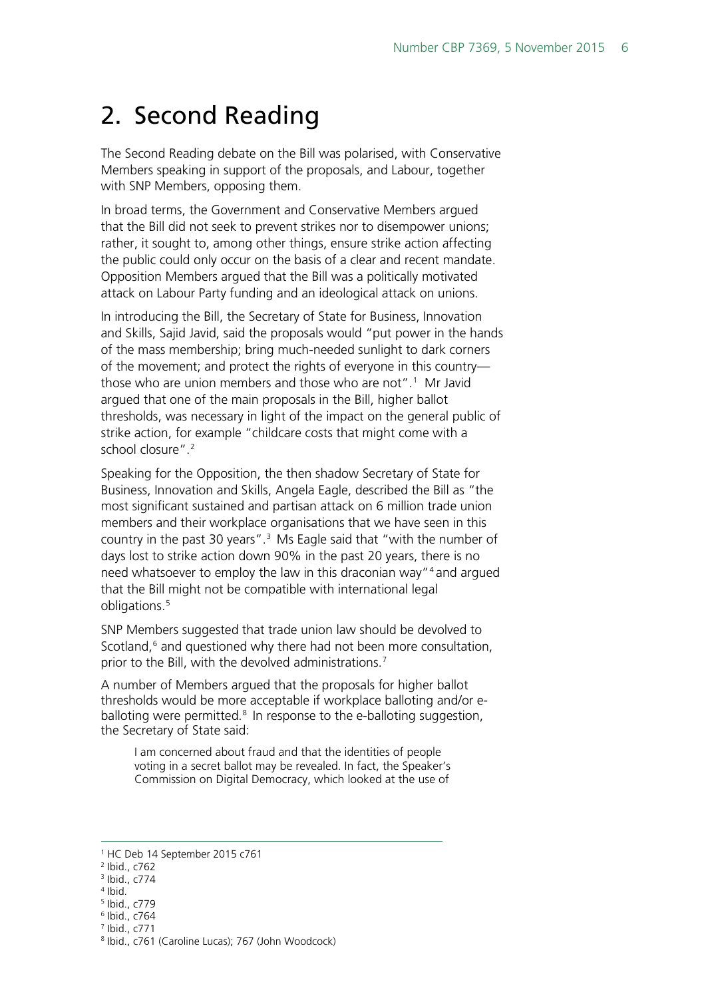## <span id="page-5-0"></span>2. Second Reading

The Second Reading debate on the Bill was polarised, with Conservative Members speaking in support of the proposals, and Labour, together with SNP Members, opposing them.

In broad terms, the Government and Conservative Members argued that the Bill did not seek to prevent strikes nor to disempower unions; rather, it sought to, among other things, ensure strike action affecting the public could only occur on the basis of a clear and recent mandate. Opposition Members argued that the Bill was a politically motivated attack on Labour Party funding and an ideological attack on unions.

In introducing the Bill, the Secretary of State for Business, Innovation and Skills, Sajid Javid, said the proposals would "put power in the hands of the mass membership; bring much-needed sunlight to dark corners of the movement; and protect the rights of everyone in this country— those who are union members and those who are not".<sup>[1](#page-5-1)</sup> Mr Javid argued that one of the main proposals in the Bill, higher ballot thresholds, was necessary in light of the impact on the general public of strike action, for example "childcare costs that might come with a school closure".[2](#page-5-2)

Speaking for the Opposition, the then shadow Secretary of State for Business, Innovation and Skills, Angela Eagle, described the Bill as "the most significant sustained and partisan attack on 6 million trade union members and their workplace organisations that we have seen in this country in the past [3](#page-5-3)0 years". $3$  Ms Eagle said that "with the number of days lost to strike action down 90% in the past 20 years, there is no need whatsoever to employ the law in this draconian way["4](#page-5-4) and argued that the Bill might not be compatible with international legal obligations.<sup>[5](#page-5-5)</sup>

SNP Members suggested that trade union law should be devolved to Scotland,<sup>[6](#page-5-6)</sup> and questioned why there had not been more consultation, prior to the Bill, with the devolved administrations.<sup>[7](#page-5-7)</sup>

A number of Members argued that the proposals for higher ballot thresholds would be more acceptable if workplace balloting and/or eballoting were permitted. $8$  In response to the e-balloting suggestion, the Secretary of State said:

I am concerned about fraud and that the identities of people voting in a secret ballot may be revealed. In fact, the Speaker's Commission on Digital Democracy, which looked at the use of

- <span id="page-5-7"></span><span id="page-5-6"></span><sup>7</sup> Ibid., c771
- 

<span id="page-5-1"></span> <sup>1</sup> HC Deb 14 September <sup>2015</sup> c761

<span id="page-5-3"></span><span id="page-5-2"></span><sup>2</sup> Ibid., c762

<sup>3</sup> Ibid., c774

<span id="page-5-4"></span> $4$  Ibid.

<span id="page-5-5"></span><sup>5</sup> Ibid., c779 <sup>6</sup> Ibid., c764

<span id="page-5-8"></span><sup>8</sup> Ibid., c761 (Caroline Lucas); 767 (John Woodcock)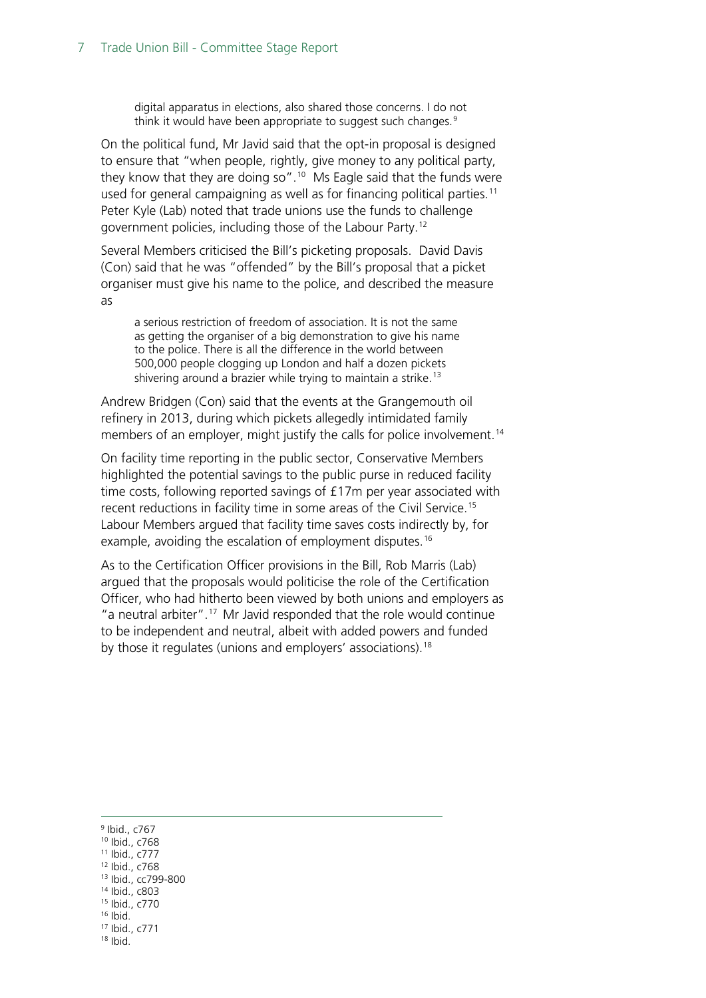digital apparatus in elections, also shared those concerns. I do not think it would have been appropriate to suggest such changes.<sup>[9](#page-6-0)</sup>

On the political fund, Mr Javid said that the opt-in proposal is designed to ensure that "when people, rightly, give money to any political party, they know that they are doing so".<sup>10</sup> Ms Eagle said that the funds were used for general campaigning as well as for financing political parties.<sup>11</sup> Peter Kyle (Lab) noted that trade unions use the funds to challenge government policies, including those of the Labour Party.[12](#page-6-3)

Several Members criticised the Bill's picketing proposals. David Davis (Con) said that he was "offended" by the Bill's proposal that a picket organiser must give his name to the police, and described the measure as

a serious restriction of freedom of association. It is not the same as getting the organiser of a big demonstration to give his name to the police. There is all the difference in the world between 500,000 people clogging up London and half a dozen pickets shivering around a brazier while trying to maintain a strike.<sup>[13](#page-6-4)</sup>

Andrew Bridgen (Con) said that the events at the Grangemouth oil refinery in 2013, during which pickets allegedly intimidated family members of an employer, might justify the calls for police involvement.<sup>[14](#page-6-5)</sup>

On facility time reporting in the public sector, Conservative Members highlighted the potential savings to the public purse in reduced facility time costs, following reported savings of £17m per year associated with recent reductions in facility time in some areas of the Civil Service.<sup>[15](#page-6-6)</sup> Labour Members argued that facility time saves costs indirectly by, for example, avoiding the escalation of employment disputes.<sup>[16](#page-6-7)</sup>

As to the Certification Officer provisions in the Bill, Rob Marris (Lab) argued that the proposals would politicise the role of the Certification Officer, who had hitherto been viewed by both unions and employers as "a neutral arbiter".<sup>[17](#page-6-8)</sup> Mr Javid responded that the role would continue to be independent and neutral, albeit with added powers and funded by those it regulates (unions and employers' associations).<sup>[18](#page-6-9)</sup>

<span id="page-6-9"></span><span id="page-6-8"></span><span id="page-6-7"></span><span id="page-6-6"></span><span id="page-6-5"></span><span id="page-6-4"></span><span id="page-6-3"></span><span id="page-6-2"></span><span id="page-6-1"></span><span id="page-6-0"></span> Ibid., c767 Ibid., c768 Ibid., c777 Ibid., c768 Ibid., cc799-800 Ibid., c803 Ibid., c770  $16$  Ibid. Ibid., c771 <sup>18</sup> Ibid.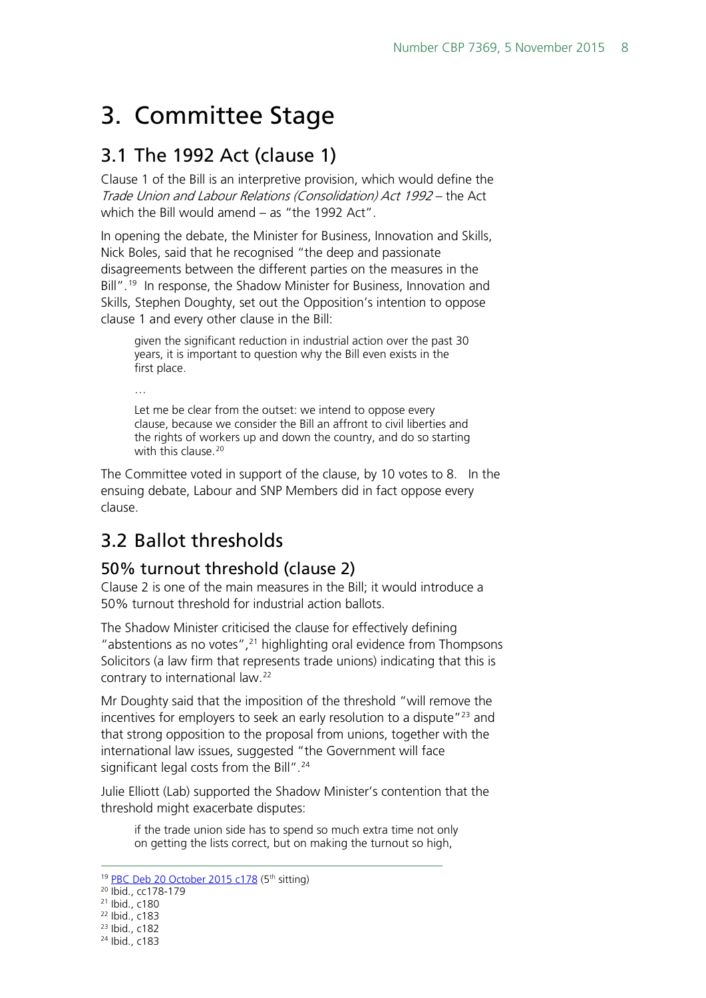## <span id="page-7-0"></span>3. Committee Stage

## <span id="page-7-1"></span>3.1 The 1992 Act (clause 1)

Clause 1 of the Bill is an interpretive provision, which would define the Trade Union and Labour Relations (Consolidation) Act 1992 – the Act which the Bill would amend – as "the 1992 Act".

In opening the debate, the Minister for Business, Innovation and Skills, Nick Boles, said that he recognised "the deep and passionate disagreements between the different parties on the measures in the Bill".<sup>[19](#page-7-4)</sup> In response, the Shadow Minister for Business, Innovation and Skills, Stephen Doughty, set out the Opposition's intention to oppose clause 1 and every other clause in the Bill:

given the significant reduction in industrial action over the past 30 years, it is important to question why the Bill even exists in the first place.

… Let me be clear from the outset: we intend to oppose every clause, because we consider the Bill an affront to civil liberties and the rights of workers up and down the country, and do so starting with this clause.<sup>[20](#page-7-5)</sup>

The Committee voted in support of the clause, by 10 votes to 8. In the ensuing debate, Labour and SNP Members did in fact oppose every clause.

## <span id="page-7-2"></span>3.2 Ballot thresholds

#### <span id="page-7-3"></span>50% turnout threshold (clause 2)

Clause 2 is one of the main measures in the Bill; it would introduce a 50% turnout threshold for industrial action ballots.

The Shadow Minister criticised the clause for effectively defining "abstentions as no votes", $^{21}$  $^{21}$  $^{21}$  highlighting oral evidence from Thompsons Solicitors (a law firm that represents trade unions) indicating that this is contrary to international law.<sup>[22](#page-7-7)</sup>

Mr Doughty said that the imposition of the threshold "will remove the incentives for employers to seek an early resolution to a dispute["23](#page-7-8) and that strong opposition to the proposal from unions, together with the international law issues, suggested "the Government will face significant legal costs from the Bill".<sup>[24](#page-7-9)</sup>

Julie Elliott (Lab) supported the Shadow Minister's contention that the threshold might exacerbate disputes:

if the trade union side has to spend so much extra time not only on getting the lists correct, but on making the turnout so high,

<sup>&</sup>lt;sup>19</sup> [PBC Deb 20 October 2015 c178](http://www.publications.parliament.uk/pa/cm201516/cmpublic/tradeunion/151020/am/151020s01.htm) (5<sup>th</sup> sitting)

<span id="page-7-5"></span><span id="page-7-4"></span><sup>&</sup>lt;sup>20</sup> Ibid., cc178-179

<span id="page-7-6"></span><sup>21</sup> Ibid., c180

<sup>22</sup> Ibid., c183

<span id="page-7-8"></span><span id="page-7-7"></span><sup>23</sup> Ibid., c182

<span id="page-7-9"></span><sup>24</sup> Ibid., c183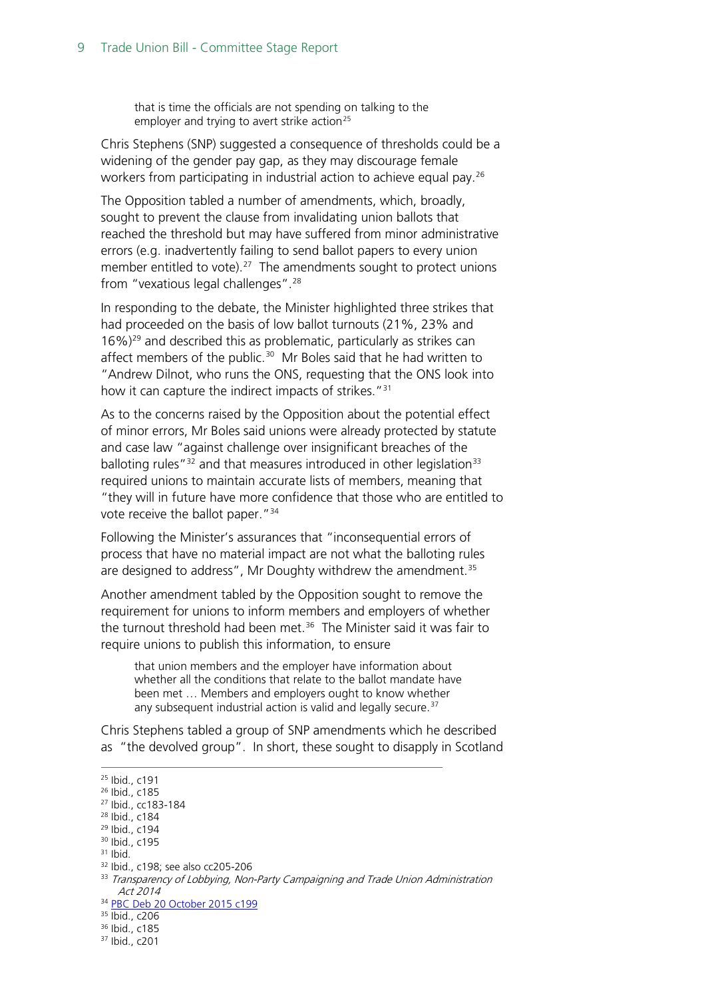that is time the officials are not spending on talking to the employer and trying to avert strike action<sup>[25](#page-8-0)</sup>

Chris Stephens (SNP) suggested a consequence of thresholds could be a widening of the gender pay gap, as they may discourage female workers from participating in industrial action to achieve equal pay.[26](#page-8-1)

The Opposition tabled a number of amendments, which, broadly, sought to prevent the clause from invalidating union ballots that reached the threshold but may have suffered from minor administrative errors (e.g. inadvertently failing to send ballot papers to every union member entitled to vote).<sup>27</sup> The amendments sought to protect unions from "vexatious legal challenges".[28](#page-8-3)

In responding to the debate, the Minister highlighted three strikes that had proceeded on the basis of low ballot turnouts (21%, 23% and  $16\%$ )<sup>[29](#page-8-4)</sup> and described this as problematic, particularly as strikes can affect members of the public.<sup>[30](#page-8-5)</sup> Mr Boles said that he had written to "Andrew Dilnot, who runs the ONS, requesting that the ONS look into how it can capture the indirect impacts of strikes."<sup>[31](#page-8-6)</sup>

As to the concerns raised by the Opposition about the potential effect of minor errors, Mr Boles said unions were already protected by statute and case law "against challenge over insignificant breaches of the balloting rules<sup>"[32](#page-8-7)</sup> and that measures introduced in other legislation<sup>[33](#page-8-8)</sup> required unions to maintain accurate lists of members, meaning that "they will in future have more confidence that those who are entitled to vote receive the ballot paper."[34](#page-8-9)

Following the Minister's assurances that "inconsequential errors of process that have no material impact are not what the balloting rules are designed to address", Mr Doughty withdrew the amendment.<sup>[35](#page-8-10)</sup>

Another amendment tabled by the Opposition sought to remove the requirement for unions to inform members and employers of whether the turnout threshold had been met.<sup>[36](#page-8-11)</sup> The Minister said it was fair to require unions to publish this information, to ensure

that union members and the employer have information about whether all the conditions that relate to the ballot mandate have been met … Members and employers ought to know whether any subsequent industrial action is valid and legally secure.<sup>[37](#page-8-12)</sup>

Chris Stephens tabled a group of SNP amendments which he described as "the devolved group". In short, these sought to disapply in Scotland

<span id="page-8-8"></span>33 Transparency of Lobbying, Non-Party Campaigning and Trade Union Administration Act 2014

<span id="page-8-0"></span> <sup>25</sup> Ibid., c191

<span id="page-8-1"></span><sup>26</sup> Ibid., c185

<span id="page-8-2"></span><sup>27</sup> Ibid., cc183-184

<span id="page-8-3"></span><sup>28</sup> Ibid., c184

<span id="page-8-4"></span><sup>29</sup> Ibid., c194 <sup>30</sup> Ibid., c195

<span id="page-8-6"></span><span id="page-8-5"></span> $31$  Ibid.

<span id="page-8-7"></span><sup>32</sup> Ibid., c198; see also cc205-206

<sup>34</sup> [PBC Deb 20 October 2015 c199](http://www.publications.parliament.uk/pa/cm201516/cmpublic/tradeunion/151020/am/151020s01.htm)

<span id="page-8-10"></span><span id="page-8-9"></span><sup>35</sup> Ibid., c206

<sup>36</sup> Ibid., c185

<span id="page-8-12"></span><span id="page-8-11"></span><sup>37</sup> Ibid., c201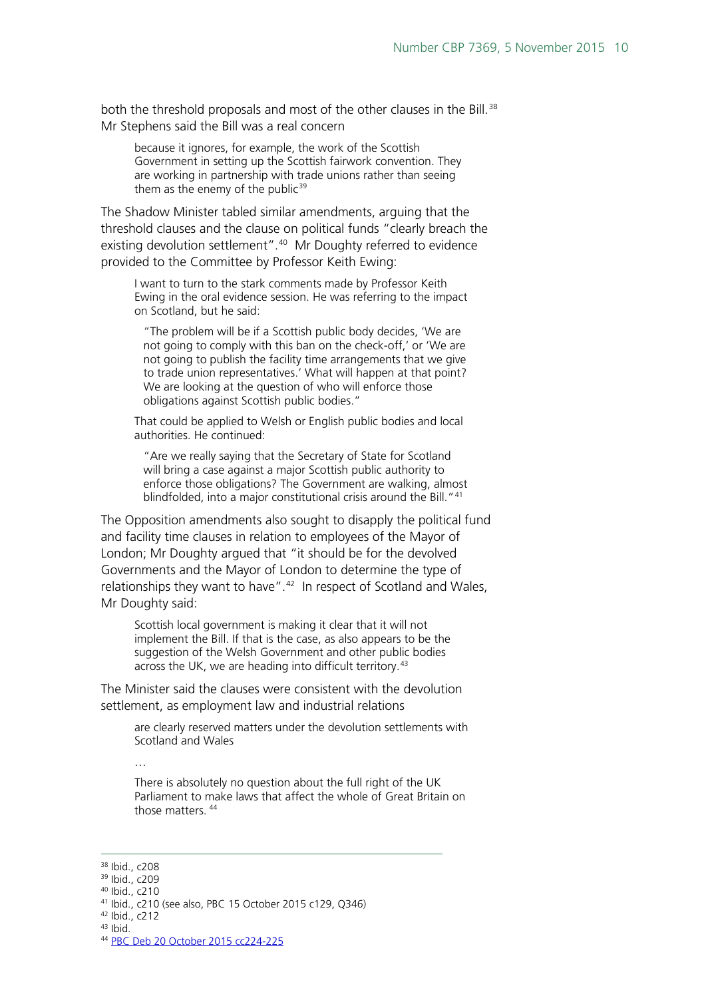both the threshold proposals and most of the other clauses in the Bill.<sup>38</sup> Mr Stephens said the Bill was a real concern

because it ignores, for example, the work of the Scottish Government in setting up the Scottish fairwork convention. They are working in partnership with trade unions rather than seeing them as the enemy of the public $39$ 

The Shadow Minister tabled similar amendments, arguing that the threshold clauses and the clause on political funds "clearly breach the existing devolution settlement".<sup>40</sup> Mr Doughty referred to evidence provided to the Committee by Professor Keith Ewing:

I want to turn to the stark comments made by Professor Keith Ewing in the oral evidence session. He was referring to the impact on Scotland, but he said:

"The problem will be if a Scottish public body decides, 'We are not going to comply with this ban on the check-off,' or 'We are not going to publish the facility time arrangements that we give to trade union representatives.' What will happen at that point? We are looking at the question of who will enforce those obligations against Scottish public bodies."

That could be applied to Welsh or English public bodies and local authorities. He continued:

"Are we really saying that the Secretary of State for Scotland will bring a case against a major Scottish public authority to enforce those obligations? The Government are walking, almost blindfolded, into a major constitutional crisis around the Bill."<sup>[41](#page-9-3)</sup>

The Opposition amendments also sought to disapply the political fund and facility time clauses in relation to employees of the Mayor of London; Mr Doughty argued that "it should be for the devolved Governments and the Mayor of London to determine the type of relationships they want to have". $42$  In respect of Scotland and Wales, Mr Doughty said:

Scottish local government is making it clear that it will not implement the Bill. If that is the case, as also appears to be the suggestion of the Welsh Government and other public bodies across the UK, we are heading into difficult territory.<sup>[43](#page-9-5)</sup>

The Minister said the clauses were consistent with the devolution settlement, as employment law and industrial relations

are clearly reserved matters under the devolution settlements with Scotland and Wales

…

There is absolutely no question about the full right of the UK Parliament to make laws that affect the whole of Great Britain on those matters. [44](#page-9-6)

<sup>40</sup> Ibid., c210

<span id="page-9-6"></span><span id="page-9-5"></span><sup>44</sup> [PBC Deb 20 October 2015 cc224-225](http://www.publications.parliament.uk/pa/cm201516/cmpublic/tradeunion/151020/pm/151020s01.htm)

<span id="page-9-1"></span><span id="page-9-0"></span><sup>&</sup>lt;sup>38</sup> Ibid., c208<br><sup>39</sup> Ibid., c209

<span id="page-9-3"></span><span id="page-9-2"></span><sup>41</sup> Ibid., c210 (see also, PBC 15 October 2015 c129, Q346)

<span id="page-9-4"></span><sup>42</sup> Ibid., c212

<sup>43</sup> Ibid.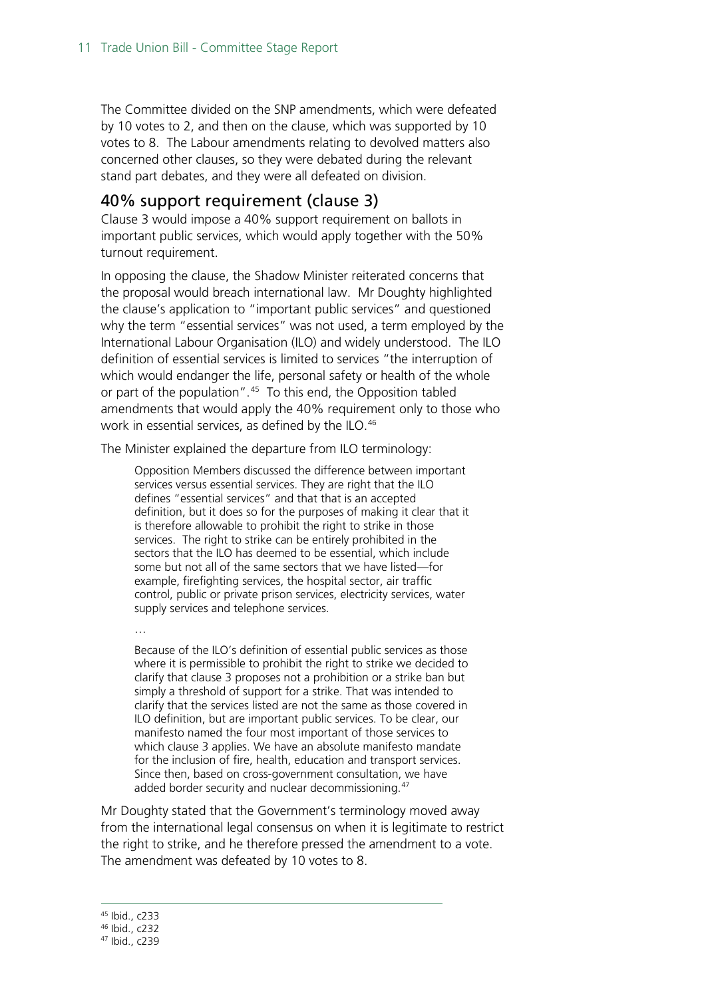The Committee divided on the SNP amendments, which were defeated by 10 votes to 2, and then on the clause, which was supported by 10 votes to 8. The Labour amendments relating to devolved matters also concerned other clauses, so they were debated during the relevant stand part debates, and they were all defeated on division.

#### <span id="page-10-0"></span>40% support requirement (clause 3)

Clause 3 would impose a 40% support requirement on ballots in important public services, which would apply together with the 50% turnout requirement.

In opposing the clause, the Shadow Minister reiterated concerns that the proposal would breach international law. Mr Doughty highlighted the clause's application to "important public services" and questioned why the term "essential services" was not used, a term employed by the International Labour Organisation (ILO) and widely understood. The ILO definition of essential services is limited to services "the interruption of which would endanger the life, personal safety or health of the whole or part of the population".<sup>45</sup> To this end, the Opposition tabled amendments that would apply the 40% requirement only to those who work in essential services, as defined by the ILO.<sup>46</sup>

The Minister explained the departure from ILO terminology:

Opposition Members discussed the difference between important services versus essential services. They are right that the ILO defines "essential services" and that that is an accepted definition, but it does so for the purposes of making it clear that it is therefore allowable to prohibit the right to strike in those services. The right to strike can be entirely prohibited in the sectors that the ILO has deemed to be essential, which include some but not all of the same sectors that we have listed—for example, firefighting services, the hospital sector, air traffic control, public or private prison services, electricity services, water supply services and telephone services.

Because of the ILO's definition of essential public services as those where it is permissible to prohibit the right to strike we decided to clarify that clause 3 proposes not a prohibition or a strike ban but simply a threshold of support for a strike. That was intended to clarify that the services listed are not the same as those covered in ILO definition, but are important public services. To be clear, our manifesto named the four most important of those services to which clause 3 applies. We have an absolute manifesto mandate for the inclusion of fire, health, education and transport services. Since then, based on cross-government consultation, we have added border security and nuclear decommissioning.<sup>[47](#page-10-3)</sup>

Mr Doughty stated that the Government's terminology moved away from the international legal consensus on when it is legitimate to restrict the right to strike, and he therefore pressed the amendment to a vote. The amendment was defeated by 10 votes to 8.

…

<span id="page-10-1"></span> <sup>45</sup> Ibid., c233

<sup>46</sup> Ibid., c232

<span id="page-10-3"></span><span id="page-10-2"></span><sup>47</sup> Ibid., c239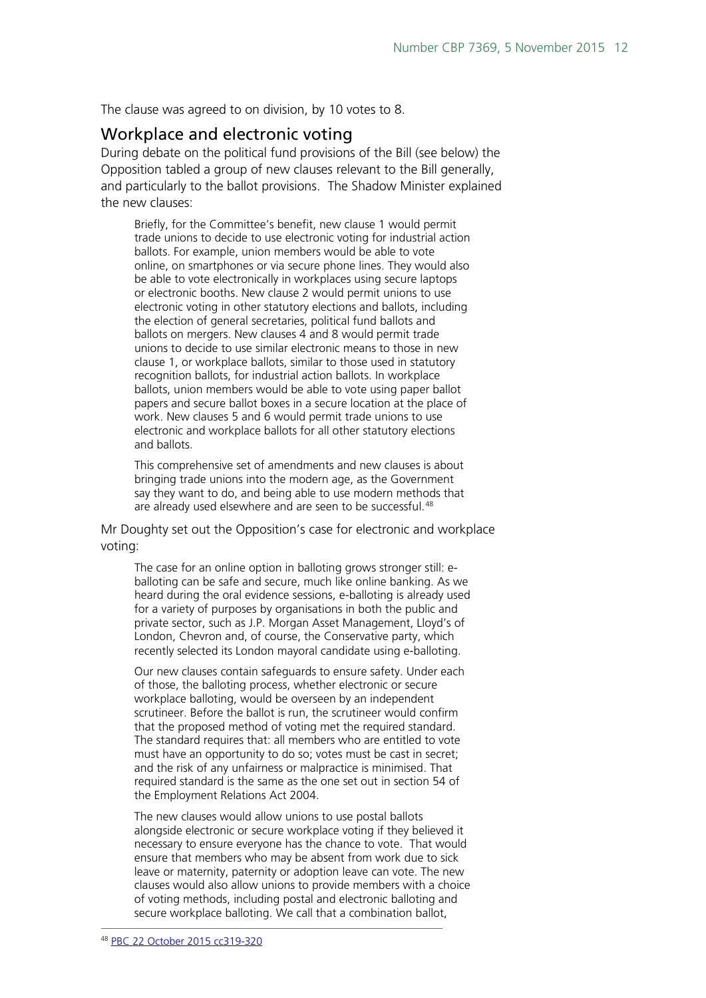The clause was agreed to on division, by 10 votes to 8.

#### <span id="page-11-0"></span>Workplace and electronic voting

During debate on the political fund provisions of the Bill (see below) the Opposition tabled a group of new clauses relevant to the Bill generally, and particularly to the ballot provisions. The Shadow Minister explained the new clauses:

Briefly, for the Committee's benefit, new clause 1 would permit trade unions to decide to use electronic voting for industrial action ballots. For example, union members would be able to vote online, on smartphones or via secure phone lines. They would also be able to vote electronically in workplaces using secure laptops or electronic booths. New clause 2 would permit unions to use electronic voting in other statutory elections and ballots, including the election of general secretaries, political fund ballots and ballots on mergers. New clauses 4 and 8 would permit trade unions to decide to use similar electronic means to those in new clause 1, or workplace ballots, similar to those used in statutory recognition ballots, for industrial action ballots. In workplace ballots, union members would be able to vote using paper ballot papers and secure ballot boxes in a secure location at the place of work. New clauses 5 and 6 would permit trade unions to use electronic and workplace ballots for all other statutory elections and ballots.

This comprehensive set of amendments and new clauses is about bringing trade unions into the modern age, as the Government say they want to do, and being able to use modern methods that are already used elsewhere and are seen to be successful.<sup>[48](#page-11-1)</sup>

Mr Doughty set out the Opposition's case for electronic and workplace voting:

The case for an online option in balloting grows stronger still: eballoting can be safe and secure, much like online banking. As we heard during the oral evidence sessions, e-balloting is already used for a variety of purposes by organisations in both the public and private sector, such as J.P. Morgan Asset Management, Lloyd's of London, Chevron and, of course, the Conservative party, which recently selected its London mayoral candidate using e-balloting.

Our new clauses contain safeguards to ensure safety. Under each of those, the balloting process, whether electronic or secure workplace balloting, would be overseen by an independent scrutineer. Before the ballot is run, the scrutineer would confirm that the proposed method of voting met the required standard. The standard requires that: all members who are entitled to vote must have an opportunity to do so; votes must be cast in secret; and the risk of any unfairness or malpractice is minimised. That required standard is the same as the one set out in section 54 of the Employment Relations Act 2004.

<span id="page-11-1"></span>The new clauses would allow unions to use postal ballots alongside electronic or secure workplace voting if they believed it necessary to ensure everyone has the chance to vote. That would ensure that members who may be absent from work due to sick leave or maternity, paternity or adoption leave can vote. The new clauses would also allow unions to provide members with a choice of voting methods, including postal and electronic balloting and secure workplace balloting. We call that a combination ballot,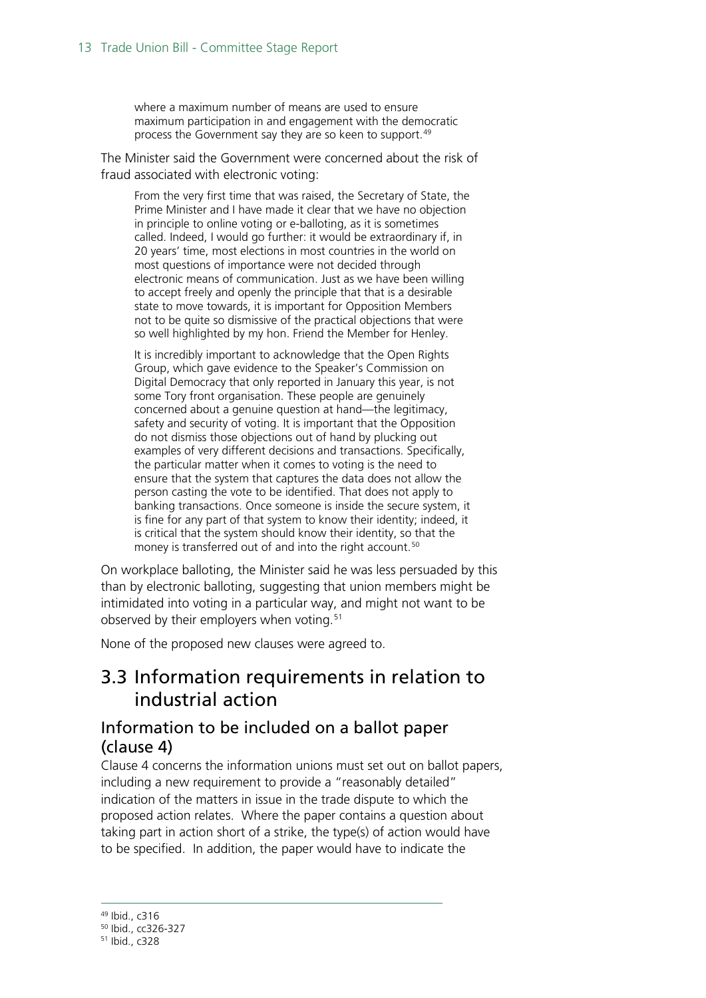where a maximum number of means are used to ensure maximum participation in and engagement with the democratic process the Government say they are so keen to support.<sup>[49](#page-12-2)</sup>

The Minister said the Government were concerned about the risk of fraud associated with electronic voting:

From the very first time that was raised, the Secretary of State, the Prime Minister and I have made it clear that we have no objection in principle to online voting or e-balloting, as it is sometimes called. Indeed, I would go further: it would be extraordinary if, in 20 years' time, most elections in most countries in the world on most questions of importance were not decided through electronic means of communication. Just as we have been willing to accept freely and openly the principle that that is a desirable state to move towards, it is important for Opposition Members not to be quite so dismissive of the practical objections that were so well highlighted by my hon. Friend the Member for Henley.

It is incredibly important to acknowledge that the Open Rights Group, which gave evidence to the Speaker's Commission on Digital Democracy that only reported in January this year, is not some Tory front organisation. These people are genuinely concerned about a genuine question at hand—the legitimacy, safety and security of voting. It is important that the Opposition do not dismiss those objections out of hand by plucking out examples of very different decisions and transactions. Specifically, the particular matter when it comes to voting is the need to ensure that the system that captures the data does not allow the person casting the vote to be identified. That does not apply to banking transactions. Once someone is inside the secure system, it is fine for any part of that system to know their identity; indeed, it is critical that the system should know their identity, so that the money is transferred out of and into the right account.<sup>[50](#page-12-3)</sup>

On workplace balloting, the Minister said he was less persuaded by this than by electronic balloting, suggesting that union members might be intimidated into voting in a particular way, and might not want to be observed by their employers when voting.<sup>[51](#page-12-4)</sup>

None of the proposed new clauses were agreed to.

## <span id="page-12-0"></span>3.3 Information requirements in relation to industrial action

#### <span id="page-12-1"></span>Information to be included on a ballot paper (clause 4)

Clause 4 concerns the information unions must set out on ballot papers, including a new requirement to provide a "reasonably detailed" indication of the matters in issue in the trade dispute to which the proposed action relates. Where the paper contains a question about taking part in action short of a strike, the type(s) of action would have to be specified. In addition, the paper would have to indicate the

<span id="page-12-2"></span> <sup>49</sup> Ibid., c316

<span id="page-12-3"></span><sup>50</sup> Ibid., cc326-327

<span id="page-12-4"></span><sup>51</sup> Ibid., c328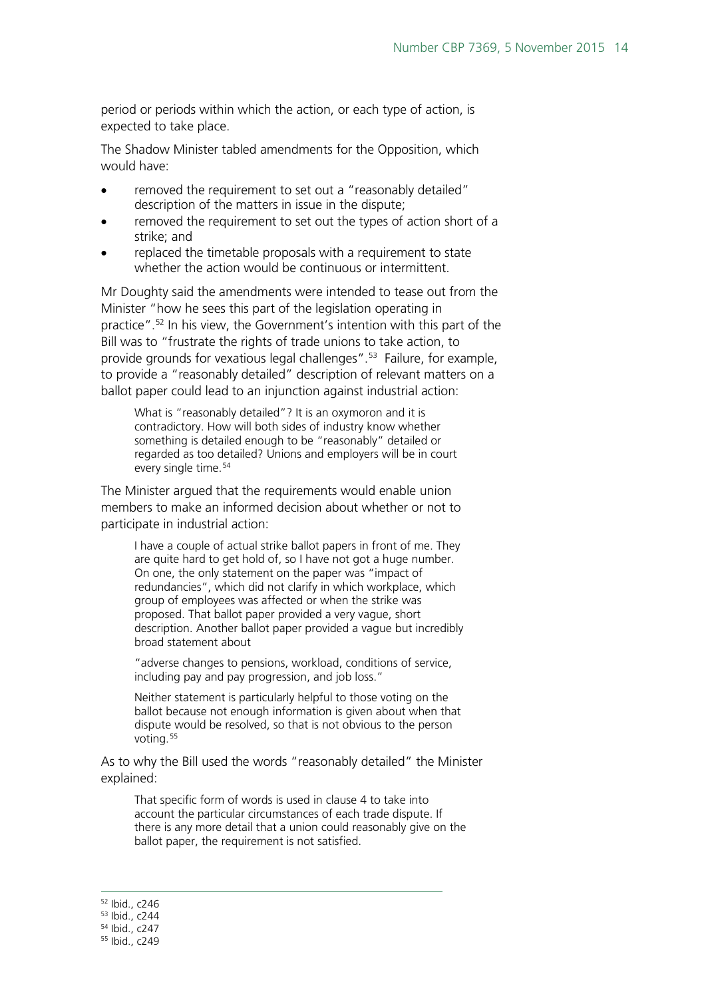period or periods within which the action, or each type of action, is expected to take place.

The Shadow Minister tabled amendments for the Opposition, which would have:

- removed the requirement to set out a "reasonably detailed" description of the matters in issue in the dispute;
- removed the requirement to set out the types of action short of a strike; and
- replaced the timetable proposals with a requirement to state whether the action would be continuous or intermittent.

Mr Doughty said the amendments were intended to tease out from the Minister "how he sees this part of the legislation operating in practice"[.52](#page-13-0) In his view, the Government's intention with this part of the Bill was to "frustrate the rights of trade unions to take action, to provide grounds for vexatious legal challenges".<sup>[53](#page-13-1)</sup> Failure, for example, to provide a "reasonably detailed" description of relevant matters on a ballot paper could lead to an injunction against industrial action:

What is "reasonably detailed"? It is an oxymoron and it is contradictory. How will both sides of industry know whether something is detailed enough to be "reasonably" detailed or regarded as too detailed? Unions and employers will be in court every single time.<sup>[54](#page-13-2)</sup>

The Minister argued that the requirements would enable union members to make an informed decision about whether or not to participate in industrial action:

I have a couple of actual strike ballot papers in front of me. They are quite hard to get hold of, so I have not got a huge number. On one, the only statement on the paper was "impact of redundancies", which did not clarify in which workplace, which group of employees was affected or when the strike was proposed. That ballot paper provided a very vague, short description. Another ballot paper provided a vague but incredibly broad statement about

"adverse changes to pensions, workload, conditions of service, including pay and pay progression, and job loss."

Neither statement is particularly helpful to those voting on the ballot because not enough information is given about when that dispute would be resolved, so that is not obvious to the person voting.<sup>[55](#page-13-3)</sup>

As to why the Bill used the words "reasonably detailed" the Minister explained:

That specific form of words is used in clause 4 to take into account the particular circumstances of each trade dispute. If there is any more detail that a union could reasonably give on the ballot paper, the requirement is not satisfied.

<span id="page-13-1"></span><span id="page-13-0"></span> <sup>52</sup> Ibid., c246

<sup>53</sup> Ibid., c244

<span id="page-13-2"></span><sup>54</sup> Ibid., c247

<span id="page-13-3"></span><sup>55</sup> Ibid., c249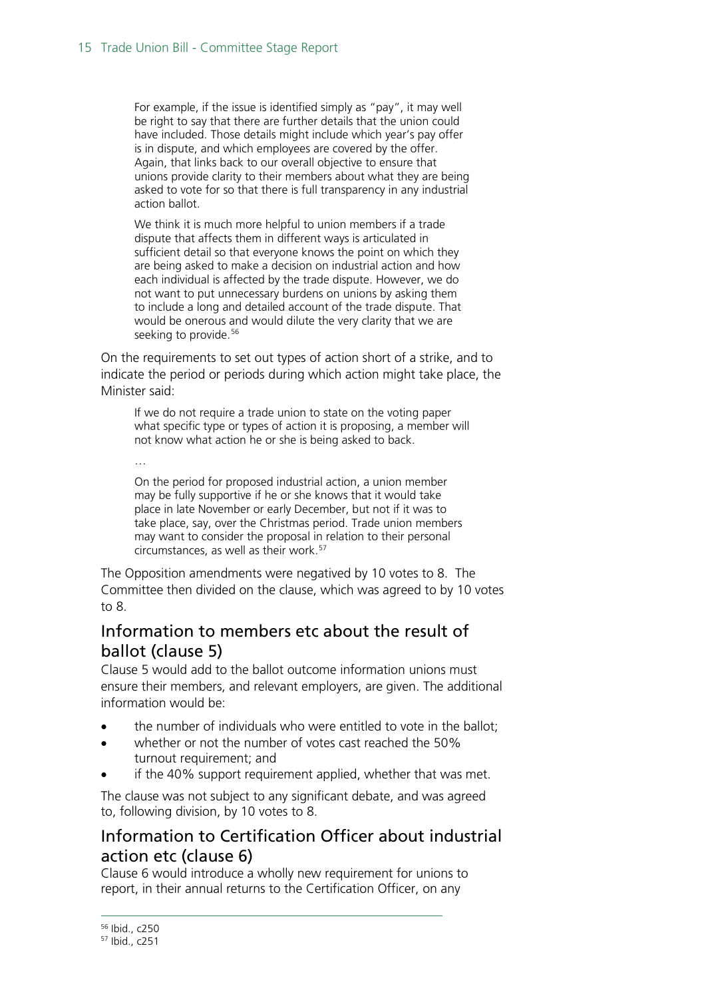For example, if the issue is identified simply as "pay", it may well be right to say that there are further details that the union could have included. Those details might include which year's pay offer is in dispute, and which employees are covered by the offer. Again, that links back to our overall objective to ensure that unions provide clarity to their members about what they are being asked to vote for so that there is full transparency in any industrial action ballot.

We think it is much more helpful to union members if a trade dispute that affects them in different ways is articulated in sufficient detail so that everyone knows the point on which they are being asked to make a decision on industrial action and how each individual is affected by the trade dispute. However, we do not want to put unnecessary burdens on unions by asking them to include a long and detailed account of the trade dispute. That would be onerous and would dilute the very clarity that we are seeking to provide.<sup>[56](#page-14-2)</sup>

On the requirements to set out types of action short of a strike, and to indicate the period or periods during which action might take place, the Minister said:

If we do not require a trade union to state on the voting paper what specific type or types of action it is proposing, a member will not know what action he or she is being asked to back.

…

On the period for proposed industrial action, a union member may be fully supportive if he or she knows that it would take place in late November or early December, but not if it was to take place, say, over the Christmas period. Trade union members may want to consider the proposal in relation to their personal circumstances, as well as their work.[57](#page-14-3)

The Opposition amendments were negatived by 10 votes to 8. The Committee then divided on the clause, which was agreed to by 10 votes to 8.

#### <span id="page-14-0"></span>Information to members etc about the result of ballot (clause 5)

Clause 5 would add to the ballot outcome information unions must ensure their members, and relevant employers, are given. The additional information would be:

- the number of individuals who were entitled to vote in the ballot;
- whether or not the number of votes cast reached the 50% turnout requirement; and
- if the 40% support requirement applied, whether that was met.

The clause was not subject to any significant debate, and was agreed to, following division, by 10 votes to 8.

#### <span id="page-14-1"></span>Information to Certification Officer about industrial action etc (clause 6)

<span id="page-14-3"></span><span id="page-14-2"></span>Clause 6 would introduce a wholly new requirement for unions to report, in their annual returns to the Certification Officer, on any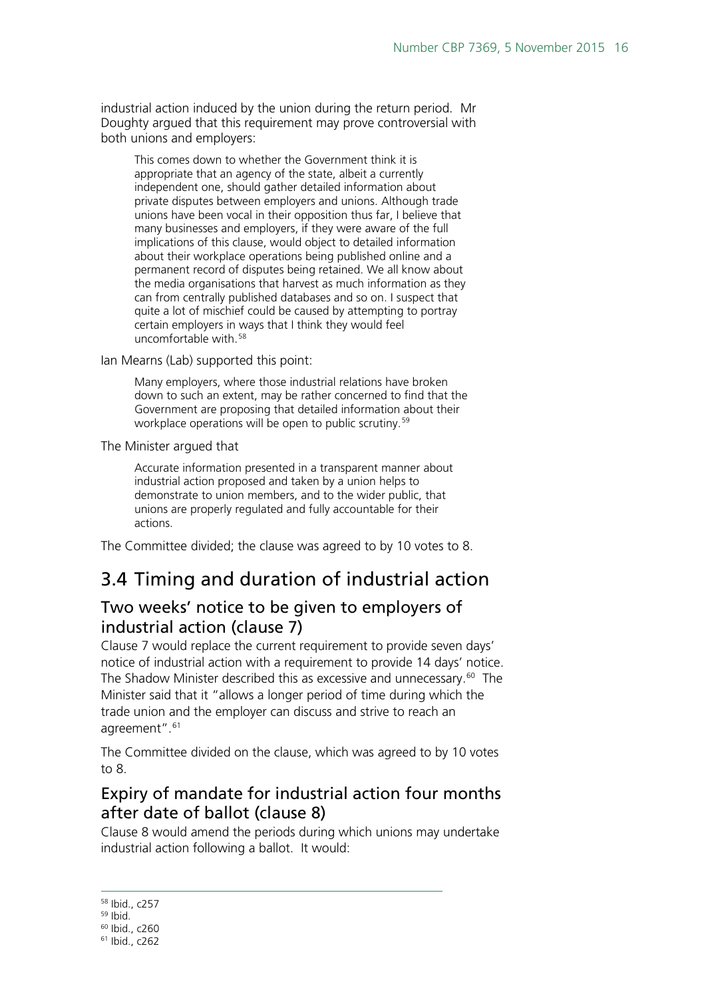industrial action induced by the union during the return period. Mr Doughty argued that this requirement may prove controversial with both unions and employers:

This comes down to whether the Government think it is appropriate that an agency of the state, albeit a currently independent one, should gather detailed information about private disputes between employers and unions. Although trade unions have been vocal in their opposition thus far, I believe that many businesses and employers, if they were aware of the full implications of this clause, would object to detailed information about their workplace operations being published online and a permanent record of disputes being retained. We all know about the media organisations that harvest as much information as they can from centrally published databases and so on. I suspect that quite a lot of mischief could be caused by attempting to portray certain employers in ways that I think they would feel uncomfortable with.[58](#page-15-3)

Ian Mearns (Lab) supported this point:

Many employers, where those industrial relations have broken down to such an extent, may be rather concerned to find that the Government are proposing that detailed information about their workplace operations will be open to public scrutiny.<sup>[59](#page-15-4)</sup>

The Minister argued that

Accurate information presented in a transparent manner about industrial action proposed and taken by a union helps to demonstrate to union members, and to the wider public, that unions are properly regulated and fully accountable for their actions.

The Committee divided; the clause was agreed to by 10 votes to 8.

## <span id="page-15-0"></span>3.4 Timing and duration of industrial action

#### <span id="page-15-1"></span>Two weeks' notice to be given to employers of industrial action (clause 7)

Clause 7 would replace the current requirement to provide seven days' notice of industrial action with a requirement to provide 14 days' notice. The Shadow Minister described this as excessive and unnecessary.<sup>60</sup> The Minister said that it "allows a longer period of time during which the trade union and the employer can discuss and strive to reach an agreement".<sup>61</sup>

The Committee divided on the clause, which was agreed to by 10 votes to 8.

### <span id="page-15-2"></span>Expiry of mandate for industrial action four months after date of ballot (clause 8)

Clause 8 would amend the periods during which unions may undertake industrial action following a ballot. It would:

 <sup>58</sup> Ibid., c257

<span id="page-15-4"></span><span id="page-15-3"></span> $59$  Ibid.

<sup>60</sup> Ibid., c260

<span id="page-15-6"></span><span id="page-15-5"></span><sup>61</sup> Ibid., c262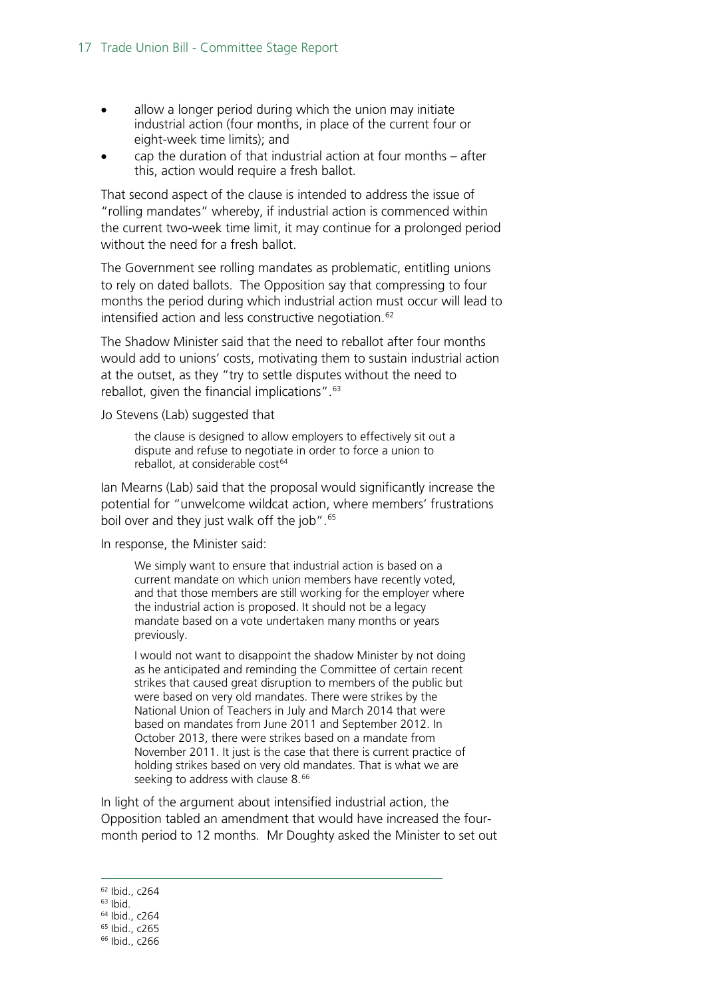- allow a longer period during which the union may initiate industrial action (four months, in place of the current four or eight-week time limits); and
- cap the duration of that industrial action at four months after this, action would require a fresh ballot.

That second aspect of the clause is intended to address the issue of "rolling mandates" whereby, if industrial action is commenced within the current two-week time limit, it may continue for a prolonged period without the need for a fresh ballot.

The Government see rolling mandates as problematic, entitling unions to rely on dated ballots. The Opposition say that compressing to four months the period during which industrial action must occur will lead to intensified action and less constructive negotiation.<sup>[62](#page-16-0)</sup>

The Shadow Minister said that the need to reballot after four months would add to unions' costs, motivating them to sustain industrial action at the outset, as they "try to settle disputes without the need to reballot, given the financial implications".<sup>63</sup>

Jo Stevens (Lab) suggested that

the clause is designed to allow employers to effectively sit out a dispute and refuse to negotiate in order to force a union to reballot, at considerable cost<sup>[64](#page-16-2)</sup>

Ian Mearns (Lab) said that the proposal would significantly increase the potential for "unwelcome wildcat action, where members' frustrations boil over and they just walk off the job".<sup>[65](#page-16-3)</sup>

In response, the Minister said:

We simply want to ensure that industrial action is based on a current mandate on which union members have recently voted, and that those members are still working for the employer where the industrial action is proposed. It should not be a legacy mandate based on a vote undertaken many months or years previously.

I would not want to disappoint the shadow Minister by not doing as he anticipated and reminding the Committee of certain recent strikes that caused great disruption to members of the public but were based on very old mandates. There were strikes by the National Union of Teachers in July and March 2014 that were based on mandates from June 2011 and September 2012. In October 2013, there were strikes based on a mandate from November 2011. It just is the case that there is current practice of holding strikes based on very old mandates. That is what we are seeking to address with clause 8.<sup>[66](#page-16-4)</sup>

In light of the argument about intensified industrial action, the Opposition tabled an amendment that would have increased the fourmonth period to 12 months. Mr Doughty asked the Minister to set out

<span id="page-16-4"></span><span id="page-16-3"></span><span id="page-16-2"></span><span id="page-16-1"></span><span id="page-16-0"></span> Ibid., c264  $63$  Ibid. Ibid., c264 Ibid., c265 Ibid., c266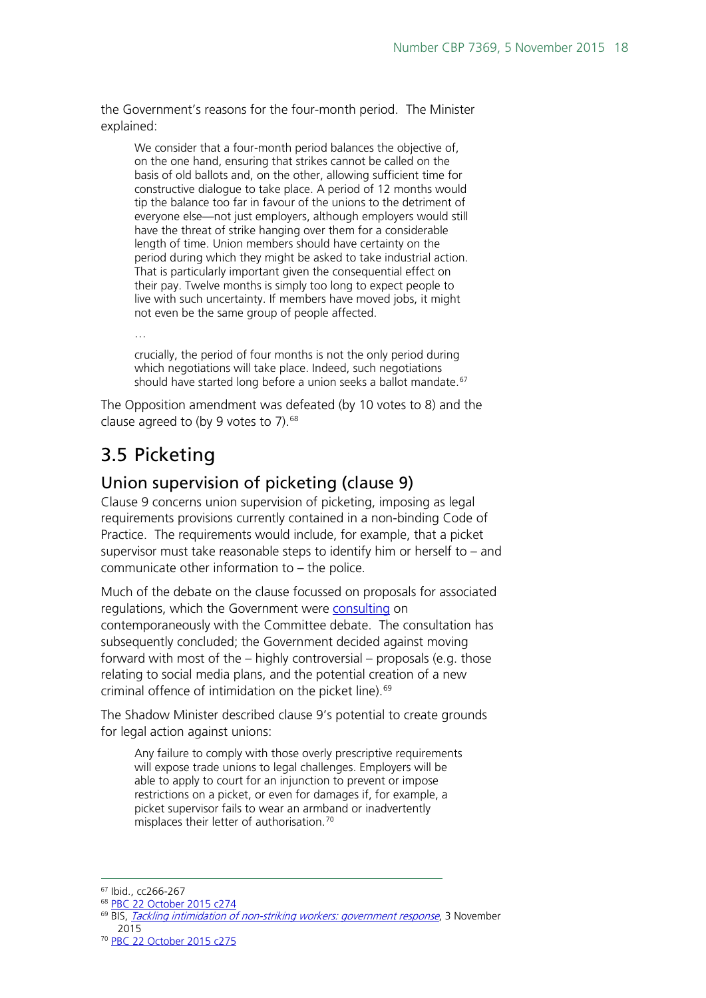the Government's reasons for the four-month period. The Minister explained:

We consider that a four-month period balances the objective of, on the one hand, ensuring that strikes cannot be called on the basis of old ballots and, on the other, allowing sufficient time for constructive dialogue to take place. A period of 12 months would tip the balance too far in favour of the unions to the detriment of everyone else—not just employers, although employers would still have the threat of strike hanging over them for a considerable length of time. Union members should have certainty on the period during which they might be asked to take industrial action. That is particularly important given the consequential effect on their pay. Twelve months is simply too long to expect people to live with such uncertainty. If members have moved jobs, it might not even be the same group of people affected.

crucially, the period of four months is not the only period during which negotiations will take place. Indeed, such negotiations should have started long before a union seeks a ballot mandate.<sup>[67](#page-17-2)</sup>

The Opposition amendment was defeated (by 10 votes to 8) and the clause agreed to (by 9 votes to 7). $68$ 

## <span id="page-17-0"></span>3.5 Picketing

…

#### <span id="page-17-1"></span>Union supervision of picketing (clause 9)

Clause 9 concerns union supervision of picketing, imposing as legal requirements provisions currently contained in a non-binding Code of Practice. The requirements would include, for example, that a picket supervisor must take reasonable steps to identify him or herself to – and communicate other information to – the police.

Much of the debate on the clause focussed on proposals for associated regulations, which the Government were [consulting](https://www.gov.uk/government/consultations/tackling-intimidation-of-non-striking-workers) on contemporaneously with the Committee debate. The consultation has subsequently concluded; the Government decided against moving forward with most of the – highly controversial – proposals (e.g. those relating to social media plans, and the potential creation of a new criminal offence of intimidation on the picket line).<sup>[69](#page-17-4)</sup>

The Shadow Minister described clause 9's potential to create grounds for legal action against unions:

Any failure to comply with those overly prescriptive requirements will expose trade unions to legal challenges. Employers will be able to apply to court for an injunction to prevent or impose restrictions on a picket, or even for damages if, for example, a picket supervisor fails to wear an armband or inadvertently misplaces their letter of authorisation.<sup>[70](#page-17-5)</sup>

<span id="page-17-2"></span> <sup>67</sup> Ibid., cc266-267

<span id="page-17-3"></span><sup>68</sup> [PBC 22 October 2015 c274](http://www.publications.parliament.uk/pa/cm201516/cmpublic/tradeunion/151022/am/151022s01.htm)

<span id="page-17-4"></span><sup>&</sup>lt;sup>69</sup> BIS, [Tackling intimidation of non-striking workers: government response](https://www.gov.uk/government/consultations/tackling-intimidation-of-non-striking-workers), 3 November 2015

<span id="page-17-5"></span><sup>70</sup> [PBC 22 October 2015 c275](http://www.publications.parliament.uk/pa/cm201516/cmpublic/tradeunion/151022/am/151022s01.htm)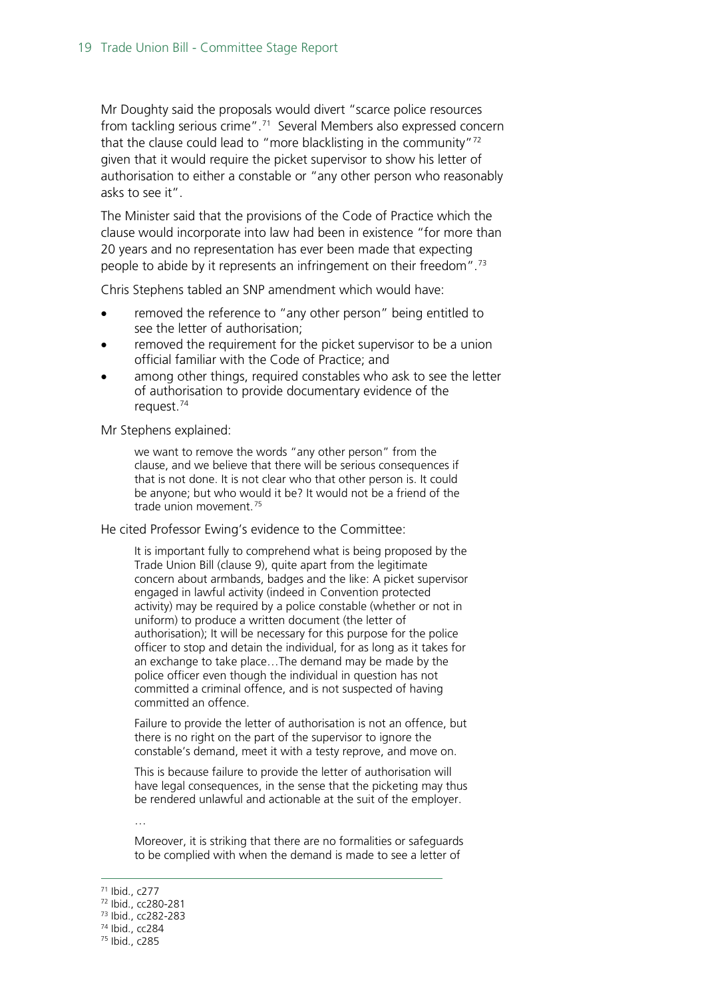Mr Doughty said the proposals would divert "scarce police resources from tackling serious crime".<sup>[71](#page-18-0)</sup> Several Members also expressed concern that the clause could lead to "more blacklisting in the community"[72](#page-18-1) given that it would require the picket supervisor to show his letter of authorisation to either a constable or "any other person who reasonably asks to see it".

The Minister said that the provisions of the Code of Practice which the clause would incorporate into law had been in existence "for more than 20 years and no representation has ever been made that expecting people to abide by it represents an infringement on their freedom".<sup>73</sup>

Chris Stephens tabled an SNP amendment which would have:

- removed the reference to "any other person" being entitled to see the letter of authorisation;
- removed the requirement for the picket supervisor to be a union official familiar with the Code of Practice; and
- among other things, required constables who ask to see the letter of authorisation to provide documentary evidence of the request.[74](#page-18-3)

Mr Stephens explained:

we want to remove the words "any other person" from the clause, and we believe that there will be serious consequences if that is not done. It is not clear who that other person is. It could be anyone; but who would it be? It would not be a friend of the trade union movement.<sup>[75](#page-18-4)</sup>

He cited Professor Ewing's evidence to the Committee:

It is important fully to comprehend what is being proposed by the Trade Union Bill (clause 9), quite apart from the legitimate concern about armbands, badges and the like: A picket supervisor engaged in lawful activity (indeed in Convention protected activity) may be required by a police constable (whether or not in uniform) to produce a written document (the letter of authorisation); It will be necessary for this purpose for the police officer to stop and detain the individual, for as long as it takes for an exchange to take place…The demand may be made by the police officer even though the individual in question has not committed a criminal offence, and is not suspected of having committed an offence.

Failure to provide the letter of authorisation is not an offence, but there is no right on the part of the supervisor to ignore the constable's demand, meet it with a testy reprove, and move on.

This is because failure to provide the letter of authorisation will have legal consequences, in the sense that the picketing may thus be rendered unlawful and actionable at the suit of the employer.

…

Moreover, it is striking that there are no formalities or safeguards to be complied with when the demand is made to see a letter of

<span id="page-18-0"></span> <sup>71</sup> Ibid., c277

<span id="page-18-1"></span><sup>72</sup> Ibid., cc280-281

<sup>73</sup> Ibid., cc282-283

<span id="page-18-3"></span><span id="page-18-2"></span><sup>74</sup> Ibid., cc284

<span id="page-18-4"></span><sup>75</sup> Ibid., c285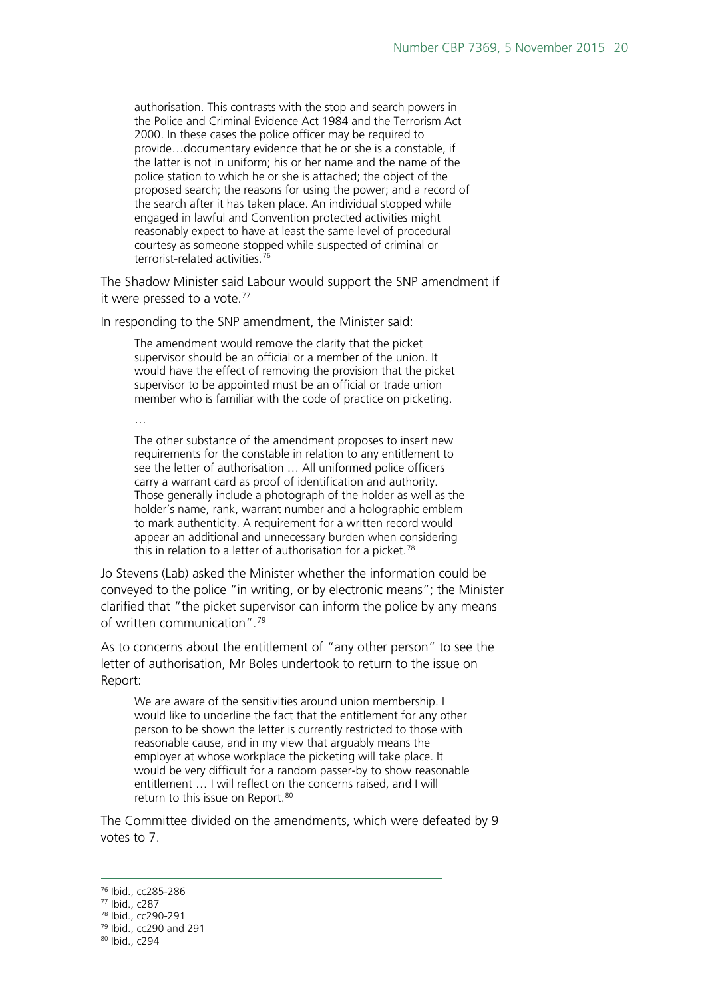authorisation. This contrasts with the stop and search powers in the Police and Criminal Evidence Act 1984 and the Terrorism Act 2000. In these cases the police officer may be required to provide…documentary evidence that he or she is a constable, if the latter is not in uniform; his or her name and the name of the police station to which he or she is attached; the object of the proposed search; the reasons for using the power; and a record of the search after it has taken place. An individual stopped while engaged in lawful and Convention protected activities might reasonably expect to have at least the same level of procedural courtesy as someone stopped while suspected of criminal or terrorist-related activities.<sup>[76](#page-19-0)</sup>

The Shadow Minister said Labour would support the SNP amendment if it were pressed to a vote.<sup>[77](#page-19-1)</sup>

In responding to the SNP amendment, the Minister said:

The amendment would remove the clarity that the picket supervisor should be an official or a member of the union. It would have the effect of removing the provision that the picket supervisor to be appointed must be an official or trade union member who is familiar with the code of practice on picketing.

…

The other substance of the amendment proposes to insert new requirements for the constable in relation to any entitlement to see the letter of authorisation … All uniformed police officers carry a warrant card as proof of identification and authority. Those generally include a photograph of the holder as well as the holder's name, rank, warrant number and a holographic emblem to mark authenticity. A requirement for a written record would appear an additional and unnecessary burden when considering this in relation to a letter of authorisation for a picket.<sup>[78](#page-19-2)</sup>

Jo Stevens (Lab) asked the Minister whether the information could be conveyed to the police "in writing, or by electronic means"; the Minister clarified that "the picket supervisor can inform the police by any means of written communication".[79](#page-19-3)

As to concerns about the entitlement of "any other person" to see the letter of authorisation, Mr Boles undertook to return to the issue on Report:

We are aware of the sensitivities around union membership. I would like to underline the fact that the entitlement for any other person to be shown the letter is currently restricted to those with reasonable cause, and in my view that arguably means the employer at whose workplace the picketing will take place. It would be very difficult for a random passer-by to show reasonable entitlement … I will reflect on the concerns raised, and I will return to this issue on Report.<sup>[80](#page-19-4)</sup>

The Committee divided on the amendments, which were defeated by 9 votes to 7.

<span id="page-19-0"></span> <sup>76</sup> Ibid., cc285-286

<span id="page-19-1"></span><sup>77</sup> Ibid., c287

<sup>78</sup> Ibid., cc290-291

<span id="page-19-3"></span><span id="page-19-2"></span><sup>79</sup> Ibid., cc290 and 291

<span id="page-19-4"></span><sup>80</sup> Ibid., c294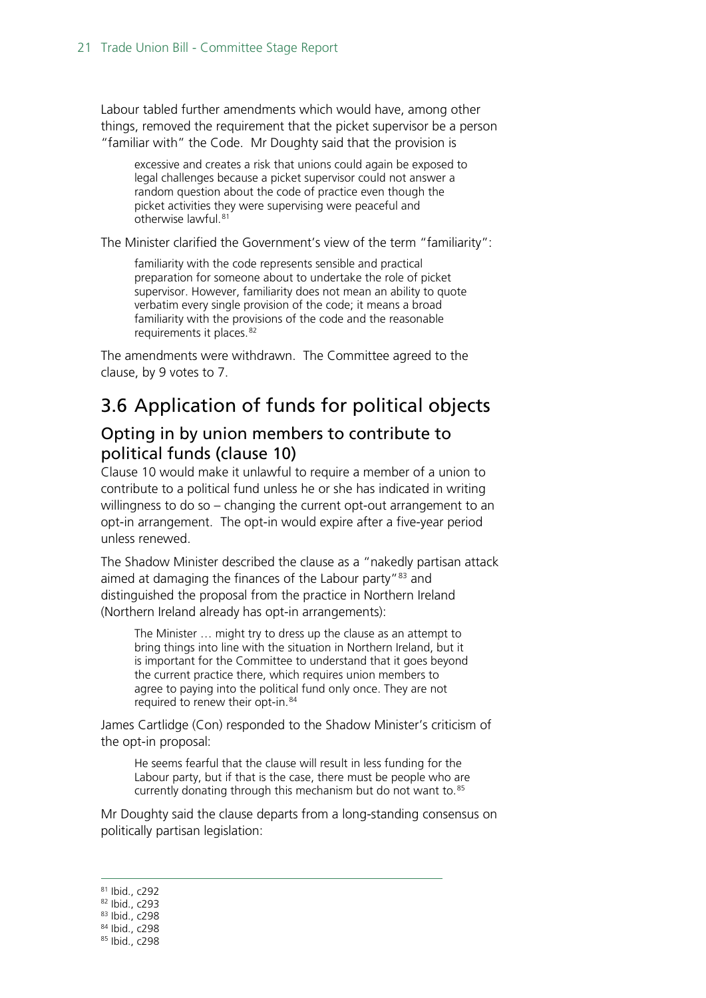Labour tabled further amendments which would have, among other things, removed the requirement that the picket supervisor be a person "familiar with" the Code. Mr Doughty said that the provision is

excessive and creates a risk that unions could again be exposed to legal challenges because a picket supervisor could not answer a random question about the code of practice even though the picket activities they were supervising were peaceful and otherwise lawful.[81](#page-20-2)

The Minister clarified the Government's view of the term "familiarity":

familiarity with the code represents sensible and practical preparation for someone about to undertake the role of picket supervisor. However, familiarity does not mean an ability to quote verbatim every single provision of the code; it means a broad familiarity with the provisions of the code and the reasonable requirements it places. [82](#page-20-3)

The amendments were withdrawn. The Committee agreed to the clause, by 9 votes to 7.

## <span id="page-20-0"></span>3.6 Application of funds for political objects

#### <span id="page-20-1"></span>Opting in by union members to contribute to political funds (clause 10)

Clause 10 would make it unlawful to require a member of a union to contribute to a political fund unless he or she has indicated in writing willingness to do so – changing the current opt-out arrangement to an opt-in arrangement. The opt-in would expire after a five-year period unless renewed.

The Shadow Minister described the clause as a "nakedly partisan attack aimed at damaging the finances of the Labour party"<sup>[83](#page-20-4)</sup> and distinguished the proposal from the practice in Northern Ireland (Northern Ireland already has opt-in arrangements):

The Minister … might try to dress up the clause as an attempt to bring things into line with the situation in Northern Ireland, but it is important for the Committee to understand that it goes beyond the current practice there, which requires union members to agree to paying into the political fund only once. They are not required to renew their opt-in.<sup>[84](#page-20-5)</sup>

James Cartlidge (Con) responded to the Shadow Minister's criticism of the opt-in proposal:

He seems fearful that the clause will result in less funding for the Labour party, but if that is the case, there must be people who are currently donating through this mechanism but do not want to.<sup>[85](#page-20-6)</sup>

Mr Doughty said the clause departs from a long-standing consensus on politically partisan legislation:

<span id="page-20-3"></span><span id="page-20-2"></span>81 Ibid., c292

<span id="page-20-4"></span><sup>83</sup> Ibid., c298

<sup>82</sup> Ibid., c293

<sup>84</sup> Ibid., c298

<span id="page-20-6"></span><span id="page-20-5"></span><sup>85</sup> Ibid., c298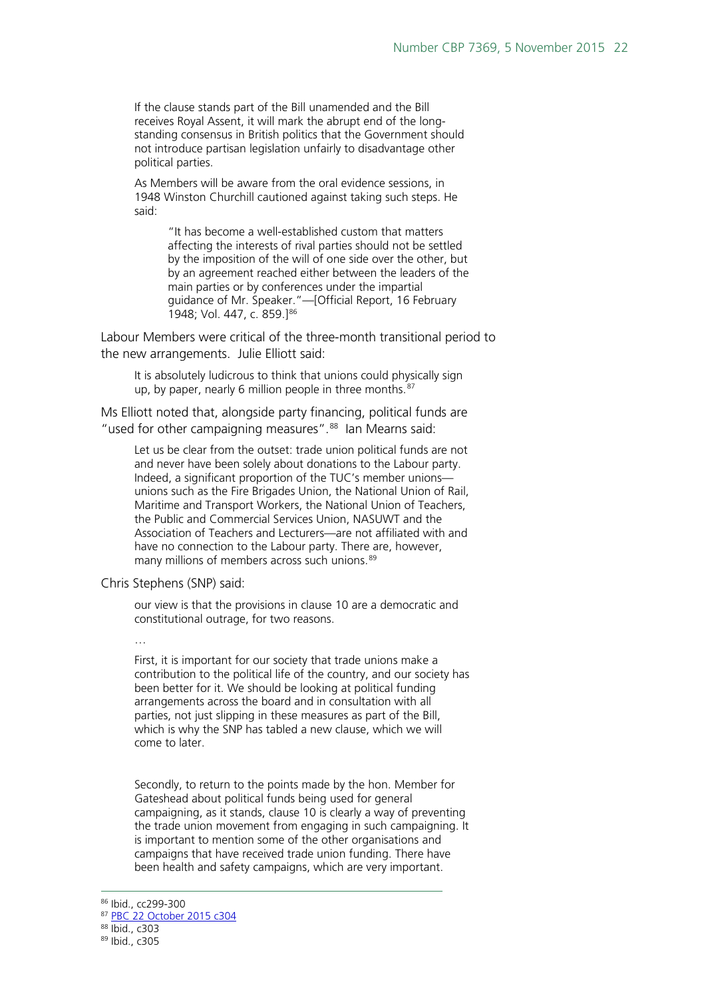If the clause stands part of the Bill unamended and the Bill receives Royal Assent, it will mark the abrupt end of the longstanding consensus in British politics that the Government should not introduce partisan legislation unfairly to disadvantage other political parties.

As Members will be aware from the oral evidence sessions, in 1948 Winston Churchill cautioned against taking such steps. He said:

> "It has become a well-established custom that matters affecting the interests of rival parties should not be settled by the imposition of the will of one side over the other, but by an agreement reached either between the leaders of the main parties or by conferences under the impartial guidance of Mr. Speaker."—[Official Report, 16 February 1948; Vol. 447, c. 859.]<sup>[86](#page-21-0)</sup>

Labour Members were critical of the three-month transitional period to the new arrangements. Julie Elliott said:

It is absolutely ludicrous to think that unions could physically sign up, by paper, nearly 6 million people in three months.<sup>[87](#page-21-1)</sup>

Ms Elliott noted that, alongside party financing, political funds are "used for other campaigning measures".<sup>[88](#page-21-2)</sup> Ian Mearns said:

Let us be clear from the outset: trade union political funds are not and never have been solely about donations to the Labour party. Indeed, a significant proportion of the TUC's member unions unions such as the Fire Brigades Union, the National Union of Rail, Maritime and Transport Workers, the National Union of Teachers, the Public and Commercial Services Union, NASUWT and the Association of Teachers and Lecturers—are not affiliated with and have no connection to the Labour party. There are, however, many millions of members across such unions.<sup>[89](#page-21-3)</sup>

Chris Stephens (SNP) said:

our view is that the provisions in clause 10 are a democratic and constitutional outrage, for two reasons.

…

First, it is important for our society that trade unions make a contribution to the political life of the country, and our society has been better for it. We should be looking at political funding arrangements across the board and in consultation with all parties, not just slipping in these measures as part of the Bill, which is why the SNP has tabled a new clause, which we will come to later.

Secondly, to return to the points made by the hon. Member for Gateshead about political funds being used for general campaigning, as it stands, clause 10 is clearly a way of preventing the trade union movement from engaging in such campaigning. It is important to mention some of the other organisations and campaigns that have received trade union funding. There have been health and safety campaigns, which are very important.

<span id="page-21-1"></span><span id="page-21-0"></span> <sup>86</sup> Ibid., cc299-300

<sup>87</sup> [PBC 22 October 2015 c304](http://www.publications.parliament.uk/pa/cm201516/cmpublic/tradeunion/151022/pm/151022s01.htm)

<span id="page-21-2"></span><sup>88</sup> Ibid., c303

<span id="page-21-3"></span><sup>89</sup> Ibid., c305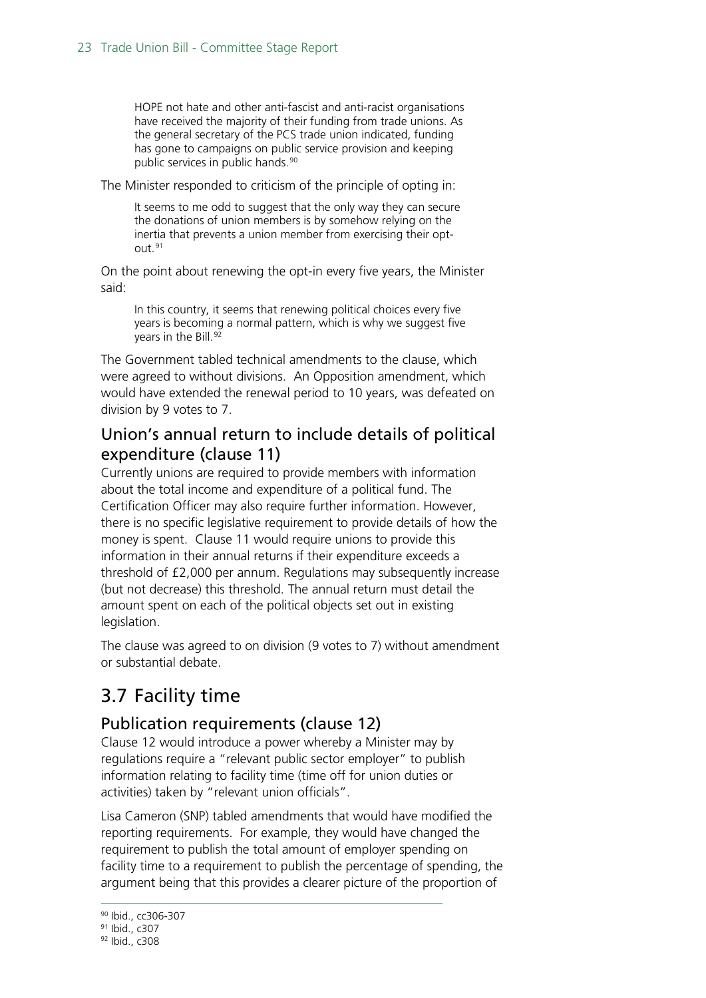HOPE not hate and other anti-fascist and anti-racist organisations have received the majority of their funding from trade unions. As the general secretary of the PCS trade union indicated, funding has gone to campaigns on public service provision and keeping public services in public hands.<sup>[90](#page-22-3)</sup>

The Minister responded to criticism of the principle of opting in:

It seems to me odd to suggest that the only way they can secure the donations of union members is by somehow relying on the inertia that prevents a union member from exercising their opt-out.<sup>[91](#page-22-4)</sup>

On the point about renewing the opt-in every five years, the Minister said:

In this country, it seems that renewing political choices every five years is becoming a normal pattern, which is why we suggest five years in the Bill.<sup>[92](#page-22-5)</sup>

The Government tabled technical amendments to the clause, which were agreed to without divisions. An Opposition amendment, which would have extended the renewal period to 10 years, was defeated on division by 9 votes to 7.

#### <span id="page-22-0"></span>Union's annual return to include details of political expenditure (clause 11)

Currently unions are required to provide members with information about the total income and expenditure of a political fund. The Certification Officer may also require further information. However, there is no specific legislative requirement to provide details of how the money is spent. Clause 11 would require unions to provide this information in their annual returns if their expenditure exceeds a threshold of £2,000 per annum. Regulations may subsequently increase (but not decrease) this threshold. The annual return must detail the amount spent on each of the political objects set out in existing legislation.

The clause was agreed to on division (9 votes to 7) without amendment or substantial debate.

## <span id="page-22-1"></span>3.7 Facility time

#### <span id="page-22-2"></span>Publication requirements (clause 12)

Clause 12 would introduce a power whereby a Minister may by regulations require a "relevant public sector employer" to publish information relating to facility time (time off for union duties or activities) taken by "relevant union officials".

Lisa Cameron (SNP) tabled amendments that would have modified the reporting requirements. For example, they would have changed the requirement to publish the total amount of employer spending on facility time to a requirement to publish the percentage of spending, the argument being that this provides a clearer picture of the proportion of

 <sup>90</sup> Ibid., cc306-307

<span id="page-22-4"></span><span id="page-22-3"></span><sup>91</sup> Ibid., c307

<span id="page-22-5"></span><sup>92</sup> Ibid., c308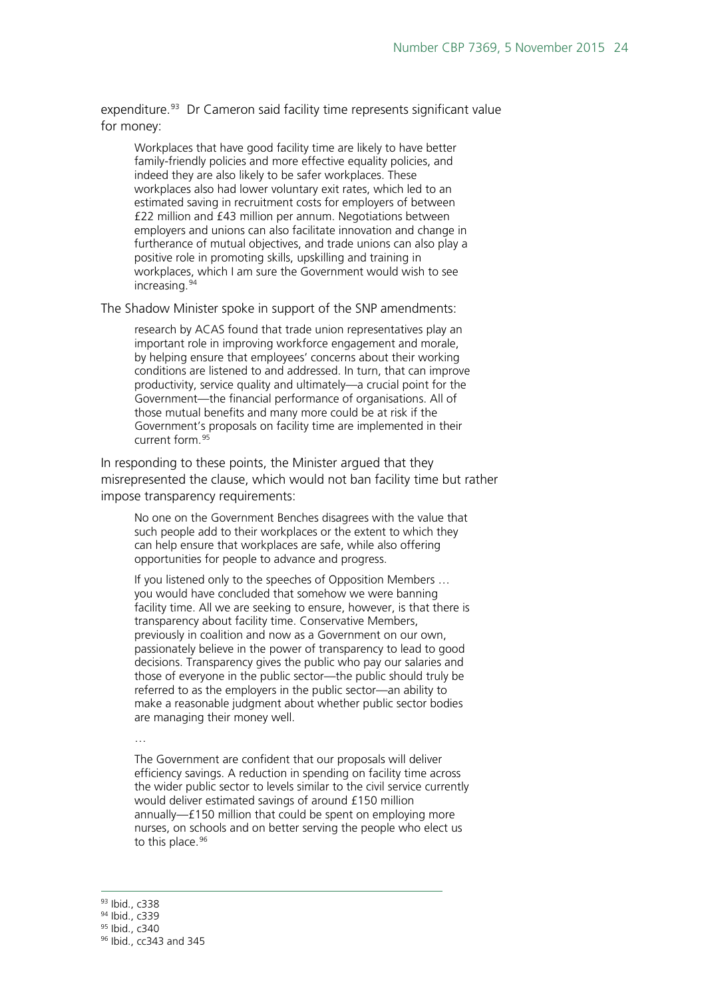expenditure.<sup>[93](#page-23-0)</sup> Dr Cameron said facility time represents significant value for money:

Workplaces that have good facility time are likely to have better family-friendly policies and more effective equality policies, and indeed they are also likely to be safer workplaces. These workplaces also had lower voluntary exit rates, which led to an estimated saving in recruitment costs for employers of between £22 million and £43 million per annum. Negotiations between employers and unions can also facilitate innovation and change in furtherance of mutual objectives, and trade unions can also play a positive role in promoting skills, upskilling and training in workplaces, which I am sure the Government would wish to see increasing.[94](#page-23-1)

The Shadow Minister spoke in support of the SNP amendments:

research by ACAS found that trade union representatives play an important role in improving workforce engagement and morale, by helping ensure that employees' concerns about their working conditions are listened to and addressed. In turn, that can improve productivity, service quality and ultimately—a crucial point for the Government—the financial performance of organisations. All of those mutual benefits and many more could be at risk if the Government's proposals on facility time are implemented in their current form.[95](#page-23-2)

In responding to these points, the Minister argued that they misrepresented the clause, which would not ban facility time but rather impose transparency requirements:

No one on the Government Benches disagrees with the value that such people add to their workplaces or the extent to which they can help ensure that workplaces are safe, while also offering opportunities for people to advance and progress.

If you listened only to the speeches of Opposition Members … you would have concluded that somehow we were banning facility time. All we are seeking to ensure, however, is that there is transparency about facility time. Conservative Members, previously in coalition and now as a Government on our own, passionately believe in the power of transparency to lead to good decisions. Transparency gives the public who pay our salaries and those of everyone in the public sector—the public should truly be referred to as the employers in the public sector—an ability to make a reasonable judgment about whether public sector bodies are managing their money well.

…

The Government are confident that our proposals will deliver efficiency savings. A reduction in spending on facility time across the wider public sector to levels similar to the civil service currently would deliver estimated savings of around £150 million annually—£150 million that could be spent on employing more nurses, on schools and on better serving the people who elect us to this place.<sup>[96](#page-23-3)</sup>

<span id="page-23-0"></span> <sup>93</sup> Ibid., c338

<span id="page-23-1"></span><sup>94</sup> Ibid., c339

<sup>95</sup> Ibid., c340

<span id="page-23-3"></span><span id="page-23-2"></span><sup>96</sup> Ibid., cc343 and 345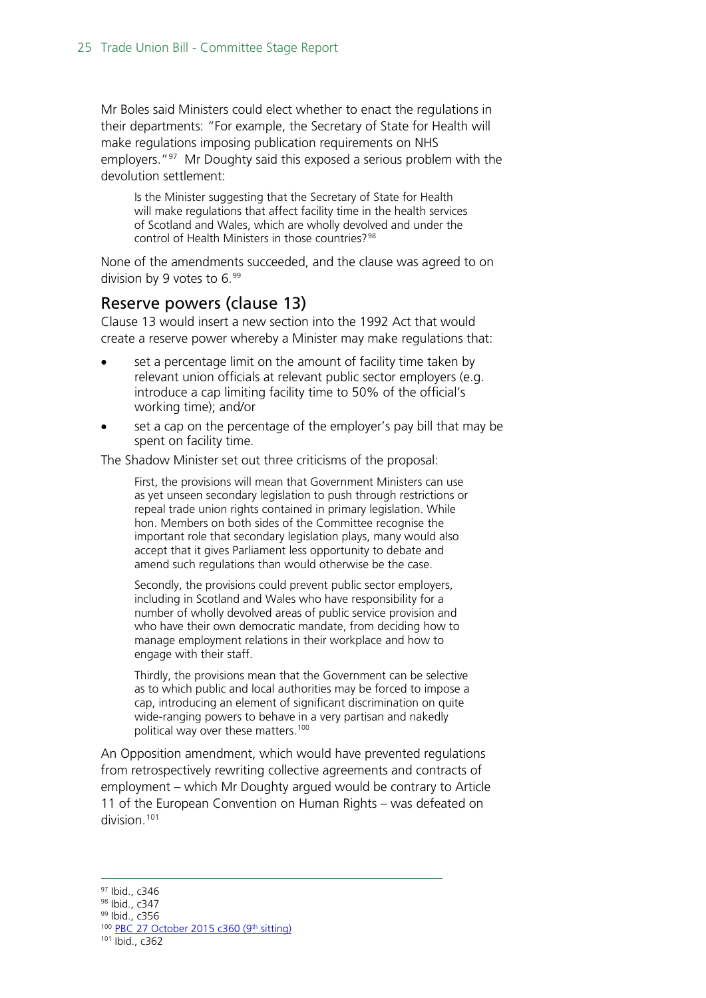Mr Boles said Ministers could elect whether to enact the regulations in their departments: "For example, the Secretary of State for Health will make regulations imposing publication requirements on NHS employers.<sup>"97</sup> Mr Doughty said this exposed a serious problem with the devolution settlement:

Is the Minister suggesting that the Secretary of State for Health will make regulations that affect facility time in the health services of Scotland and Wales, which are wholly devolved and under the control of Health Ministers in those countries?<sup>[98](#page-24-2)</sup>

None of the amendments succeeded, and the clause was agreed to on division by 9 votes to  $6.^{99}$  $6.^{99}$  $6.^{99}$ 

#### <span id="page-24-0"></span>Reserve powers (clause 13)

Clause 13 would insert a new section into the 1992 Act that would create a reserve power whereby a Minister may make regulations that:

- set a percentage limit on the amount of facility time taken by relevant union officials at relevant public sector employers (e.g. introduce a cap limiting facility time to 50% of the official's working time); and/or
- set a cap on the percentage of the employer's pay bill that may be spent on facility time.

The Shadow Minister set out three criticisms of the proposal:

First, the provisions will mean that Government Ministers can use as yet unseen secondary legislation to push through restrictions or repeal trade union rights contained in primary legislation. While hon. Members on both sides of the Committee recognise the important role that secondary legislation plays, many would also accept that it gives Parliament less opportunity to debate and amend such regulations than would otherwise be the case.

Secondly, the provisions could prevent public sector employers, including in Scotland and Wales who have responsibility for a number of wholly devolved areas of public service provision and who have their own democratic mandate, from deciding how to manage employment relations in their workplace and how to engage with their staff.

Thirdly, the provisions mean that the Government can be selective as to which public and local authorities may be forced to impose a cap, introducing an element of significant discrimination on quite wide-ranging powers to behave in a very partisan and nakedly political way over these matters.<sup>[100](#page-24-4)</sup>

An Opposition amendment, which would have prevented regulations from retrospectively rewriting collective agreements and contracts of employment – which Mr Doughty argued would be contrary to Article 11 of the European Convention on Human Rights – was defeated on division.[101](#page-24-5)

<span id="page-24-2"></span><span id="page-24-1"></span><sup>98</sup> Ibid., c347

<span id="page-24-3"></span><sup>99</sup> Ibid., c356

<sup>100</sup> [PBC 27 October 2015 c360 \(9th](http://www.publications.parliament.uk/pa/cm201516/cmpublic/tradeunion/151027/am/151027s01.htm) sitting)

<span id="page-24-5"></span><span id="page-24-4"></span><sup>101</sup> Ibid., c362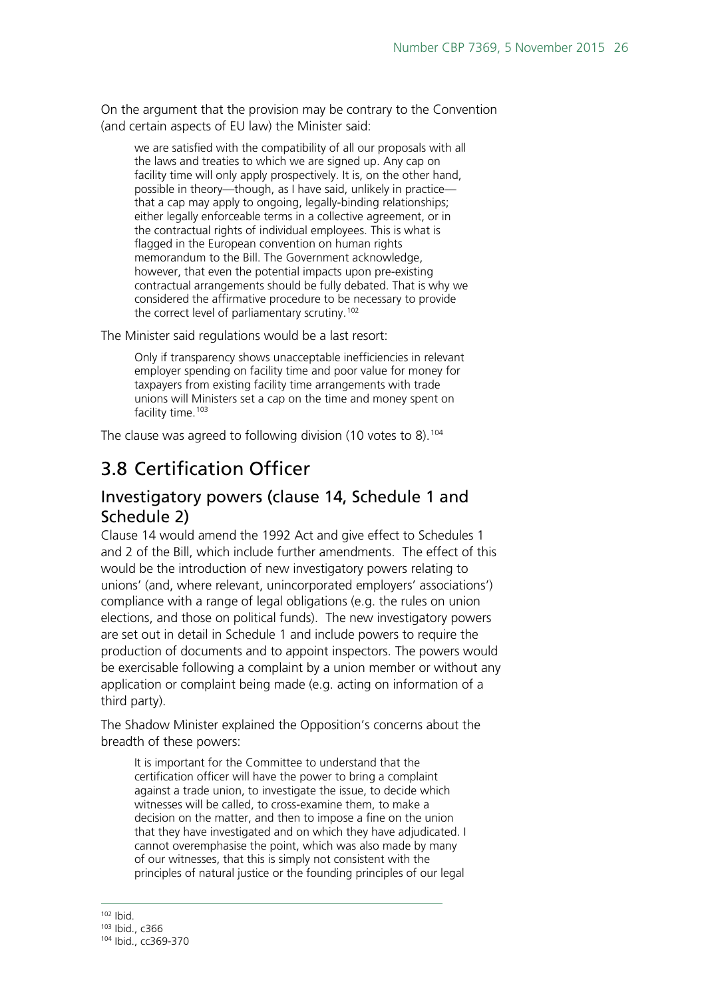On the argument that the provision may be contrary to the Convention (and certain aspects of EU law) the Minister said:

we are satisfied with the compatibility of all our proposals with all the laws and treaties to which we are signed up. Any cap on facility time will only apply prospectively. It is, on the other hand, possible in theory—though, as I have said, unlikely in practice that a cap may apply to ongoing, legally-binding relationships; either legally enforceable terms in a collective agreement, or in the contractual rights of individual employees. This is what is flagged in the European convention on human rights memorandum to the Bill. The Government acknowledge, however, that even the potential impacts upon pre-existing contractual arrangements should be fully debated. That is why we considered the affirmative procedure to be necessary to provide the correct level of parliamentary scrutiny.<sup>[102](#page-25-2)</sup>

The Minister said regulations would be a last resort:

Only if transparency shows unacceptable inefficiencies in relevant employer spending on facility time and poor value for money for taxpayers from existing facility time arrangements with trade unions will Ministers set a cap on the time and money spent on facility time.<sup>[103](#page-25-3)</sup>

The clause was agreed to following division (10 votes to 8).<sup>[104](#page-25-4)</sup>

## <span id="page-25-0"></span>3.8 Certification Officer

#### <span id="page-25-1"></span>Investigatory powers (clause 14, Schedule 1 and Schedule 2)

Clause 14 would amend the 1992 Act and give effect to Schedules 1 and 2 of the Bill, which include further amendments. The effect of this would be the introduction of new investigatory powers relating to unions' (and, where relevant, unincorporated employers' associations') compliance with a range of legal obligations (e.g. the rules on union elections, and those on political funds). The new investigatory powers are set out in detail in Schedule 1 and include powers to require the production of documents and to appoint inspectors. The powers would be exercisable following a complaint by a union member or without any application or complaint being made (e.g. acting on information of a third party).

The Shadow Minister explained the Opposition's concerns about the breadth of these powers:

It is important for the Committee to understand that the certification officer will have the power to bring a complaint against a trade union, to investigate the issue, to decide which witnesses will be called, to cross-examine them, to make a decision on the matter, and then to impose a fine on the union that they have investigated and on which they have adjudicated. I cannot overemphasise the point, which was also made by many of our witnesses, that this is simply not consistent with the principles of natural justice or the founding principles of our legal

<span id="page-25-2"></span> $102$  Ibid.

<sup>103</sup> Ibid., c366

<span id="page-25-4"></span><span id="page-25-3"></span><sup>104</sup> Ibid., cc369-370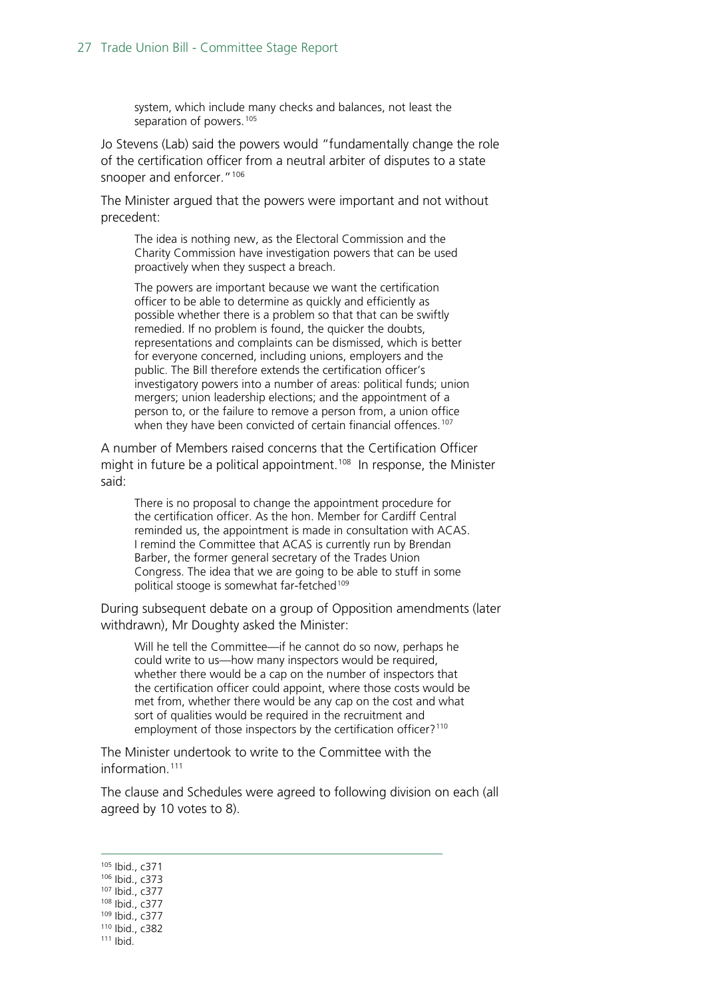system, which include many checks and balances, not least the separation of powers.<sup>[105](#page-26-0)</sup>

Jo Stevens (Lab) said the powers would "fundamentally change the role of the certification officer from a neutral arbiter of disputes to a state snooper and enforcer."<sup>[106](#page-26-1)</sup>

The Minister argued that the powers were important and not without precedent:

The idea is nothing new, as the Electoral Commission and the Charity Commission have investigation powers that can be used proactively when they suspect a breach.

The powers are important because we want the certification officer to be able to determine as quickly and efficiently as possible whether there is a problem so that that can be swiftly remedied. If no problem is found, the quicker the doubts, representations and complaints can be dismissed, which is better for everyone concerned, including unions, employers and the public. The Bill therefore extends the certification officer's investigatory powers into a number of areas: political funds; union mergers; union leadership elections; and the appointment of a person to, or the failure to remove a person from, a union office when they have been convicted of certain financial offences.<sup>[107](#page-26-2)</sup>

A number of Members raised concerns that the Certification Officer might in future be a political appointment.<sup>[108](#page-26-3)</sup> In response, the Minister said:

There is no proposal to change the appointment procedure for the certification officer. As the hon. Member for Cardiff Central reminded us, the appointment is made in consultation with ACAS. I remind the Committee that ACAS is currently run by Brendan Barber, the former general secretary of the Trades Union Congress. The idea that we are going to be able to stuff in some political stooge is somewhat far-fetched<sup>[109](#page-26-4)</sup>

During subsequent debate on a group of Opposition amendments (later withdrawn), Mr Doughty asked the Minister:

Will he tell the Committee—if he cannot do so now, perhaps he could write to us—how many inspectors would be required, whether there would be a cap on the number of inspectors that the certification officer could appoint, where those costs would be met from, whether there would be any cap on the cost and what sort of qualities would be required in the recruitment and employment of those inspectors by the certification officer?<sup>[110](#page-26-5)</sup>

The Minister undertook to write to the Committee with the information<sup>[111](#page-26-6)</sup>

The clause and Schedules were agreed to following division on each (all agreed by 10 votes to 8).

- <span id="page-26-1"></span><span id="page-26-0"></span> 105 Ibid., c371 <sup>106</sup> Ibid., c373 <sup>107</sup> Ibid., c377
- 
- <span id="page-26-3"></span><span id="page-26-2"></span><sup>108</sup> Ibid., c377
- <sup>109</sup> Ibid., c377
- <span id="page-26-6"></span><span id="page-26-5"></span><span id="page-26-4"></span><sup>110</sup> Ibid., c382
- <sup>111</sup> Ibid.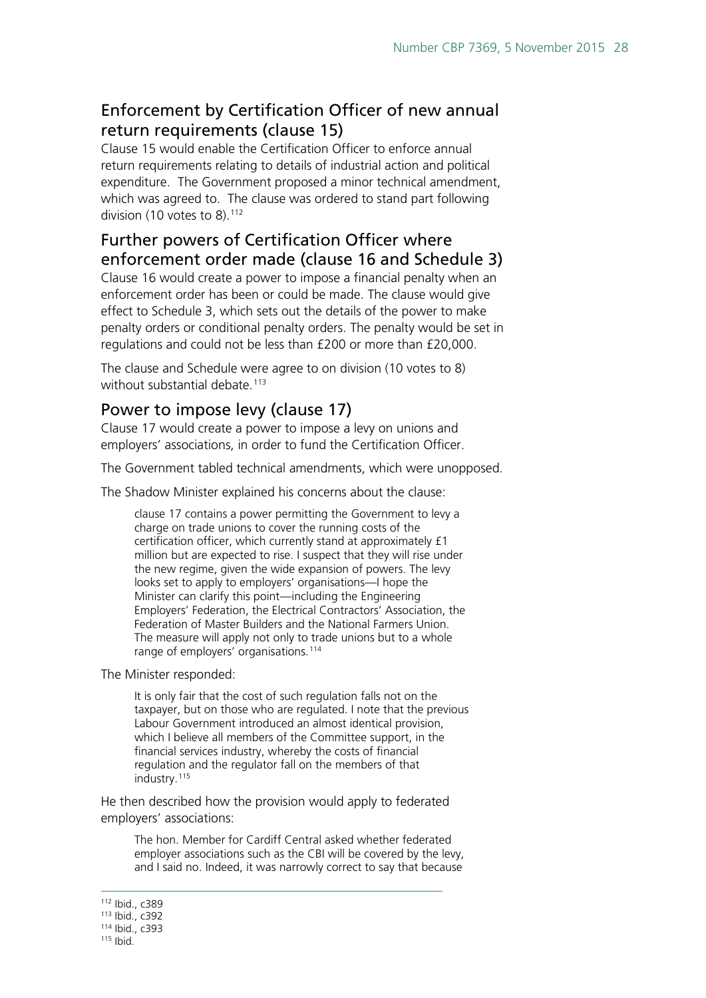### <span id="page-27-0"></span>Enforcement by Certification Officer of new annual return requirements (clause 15)

Clause 15 would enable the Certification Officer to enforce annual return requirements relating to details of industrial action and political expenditure. The Government proposed a minor technical amendment, which was agreed to. The clause was ordered to stand part following division (10 votes to  $8$ ).<sup>[112](#page-27-3)</sup>

### <span id="page-27-1"></span>Further powers of Certification Officer where enforcement order made (clause 16 and Schedule 3)

Clause 16 would create a power to impose a financial penalty when an enforcement order has been or could be made. The clause would give effect to Schedule 3, which sets out the details of the power to make penalty orders or conditional penalty orders. The penalty would be set in regulations and could not be less than £200 or more than £20,000.

The clause and Schedule were agree to on division (10 votes to 8) without substantial debate.<sup>[113](#page-27-4)</sup>

#### <span id="page-27-2"></span>Power to impose levy (clause 17)

Clause 17 would create a power to impose a levy on unions and employers' associations, in order to fund the Certification Officer.

The Government tabled technical amendments, which were unopposed.

The Shadow Minister explained his concerns about the clause:

clause 17 contains a power permitting the Government to levy a charge on trade unions to cover the running costs of the certification officer, which currently stand at approximately £1 million but are expected to rise. I suspect that they will rise under the new regime, given the wide expansion of powers. The levy looks set to apply to employers' organisations—I hope the Minister can clarify this point—including the Engineering Employers' Federation, the Electrical Contractors' Association, the Federation of Master Builders and the National Farmers Union. The measure will apply not only to trade unions but to a whole range of employers' organisations.<sup>[114](#page-27-5)</sup>

The Minister responded:

It is only fair that the cost of such regulation falls not on the taxpayer, but on those who are regulated. I note that the previous Labour Government introduced an almost identical provision, which I believe all members of the Committee support, in the financial services industry, whereby the costs of financial regulation and the regulator fall on the members of that industry.<sup>[115](#page-27-6)</sup>

He then described how the provision would apply to federated employers' associations:

The hon. Member for Cardiff Central asked whether federated employer associations such as the CBI will be covered by the levy, and I said no. Indeed, it was narrowly correct to say that because

<span id="page-27-4"></span><span id="page-27-3"></span> <sup>112</sup> Ibid., c389

<sup>113</sup> Ibid., c392

<sup>114</sup> Ibid., c393

<span id="page-27-6"></span><span id="page-27-5"></span><sup>115</sup> Ibid.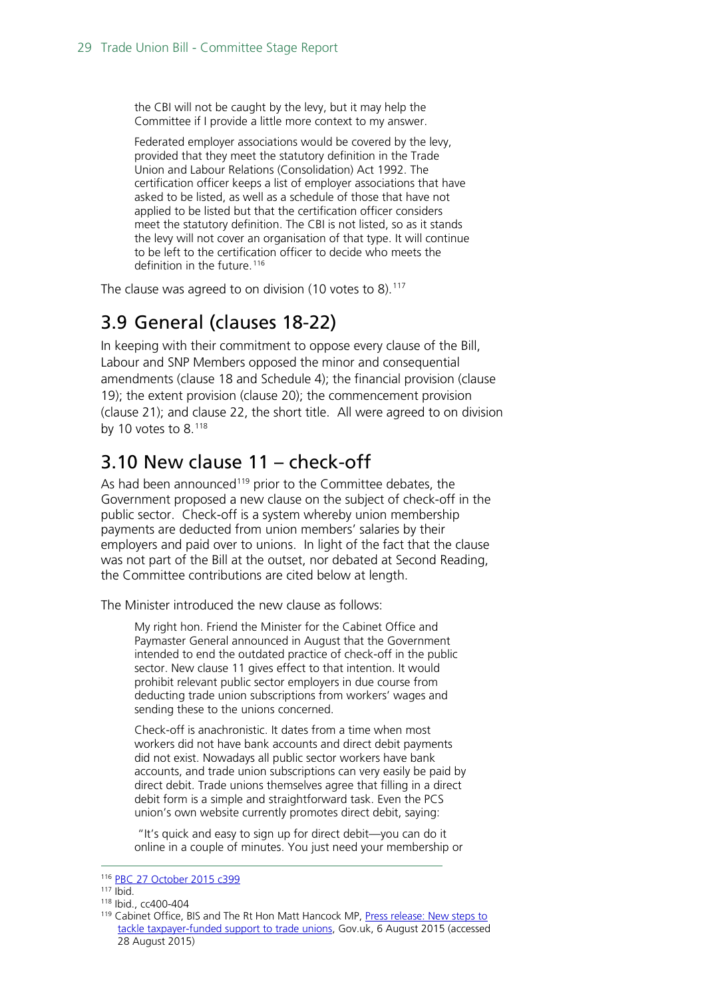the CBI will not be caught by the levy, but it may help the Committee if I provide a little more context to my answer.

Federated employer associations would be covered by the levy, provided that they meet the statutory definition in the Trade Union and Labour Relations (Consolidation) Act 1992. The certification officer keeps a list of employer associations that have asked to be listed, as well as a schedule of those that have not applied to be listed but that the certification officer considers meet the statutory definition. The CBI is not listed, so as it stands the levy will not cover an organisation of that type. It will continue to be left to the certification officer to decide who meets the definition in the future.<sup>[116](#page-28-2)</sup>

The clause was agreed to on division (10 votes to 8).<sup>[117](#page-28-3)</sup>

## <span id="page-28-0"></span>3.9 General (clauses 18-22)

In keeping with their commitment to oppose every clause of the Bill, Labour and SNP Members opposed the minor and consequential amendments (clause 18 and Schedule 4); the financial provision (clause 19); the extent provision (clause 20); the commencement provision (clause 21); and clause 22, the short title. All were agreed to on division by 10 votes to  $8.^{118}$  $8.^{118}$  $8.^{118}$ 

## <span id="page-28-1"></span>3.10 New clause 11 – check-off

As had been announced<sup>[119](#page-28-5)</sup> prior to the Committee debates, the Government proposed a new clause on the subject of check-off in the public sector. Check-off is a system whereby union membership payments are deducted from union members' salaries by their employers and paid over to unions. In light of the fact that the clause was not part of the Bill at the outset, nor debated at Second Reading, the Committee contributions are cited below at length.

The Minister introduced the new clause as follows:

My right hon. Friend the Minister for the Cabinet Office and Paymaster General announced in August that the Government intended to end the outdated practice of check-off in the public sector. New clause 11 gives effect to that intention. It would prohibit relevant public sector employers in due course from deducting trade union subscriptions from workers' wages and sending these to the unions concerned.

Check-off is anachronistic. It dates from a time when most workers did not have bank accounts and direct debit payments did not exist. Nowadays all public sector workers have bank accounts, and trade union subscriptions can very easily be paid by direct debit. Trade unions themselves agree that filling in a direct debit form is a simple and straightforward task. Even the PCS union's own website currently promotes direct debit, saying:

"It's quick and easy to sign up for direct debit—you can do it online in a couple of minutes. You just need your membership or

 <sup>116</sup> [PBC 27 October 2015 c399](http://www.publications.parliament.uk/pa/cm201516/cmpublic/tradeunion/151027/pm/151027s01.htm)

<span id="page-28-3"></span><span id="page-28-2"></span> $117$  Ibid.

<span id="page-28-4"></span><sup>118</sup> Ibid., cc400-404

<span id="page-28-5"></span><sup>119</sup> Cabinet Office, BIS and The Rt Hon Matt Hancock MP, [Press release: New steps to](https://www.gov.uk/government/news/new-steps-to-tackle-taxpayer-funded-support-to-trade-unions)  [tackle taxpayer-funded support to trade unions,](https://www.gov.uk/government/news/new-steps-to-tackle-taxpayer-funded-support-to-trade-unions) Gov.uk, 6 August 2015 (accessed 28 August 2015)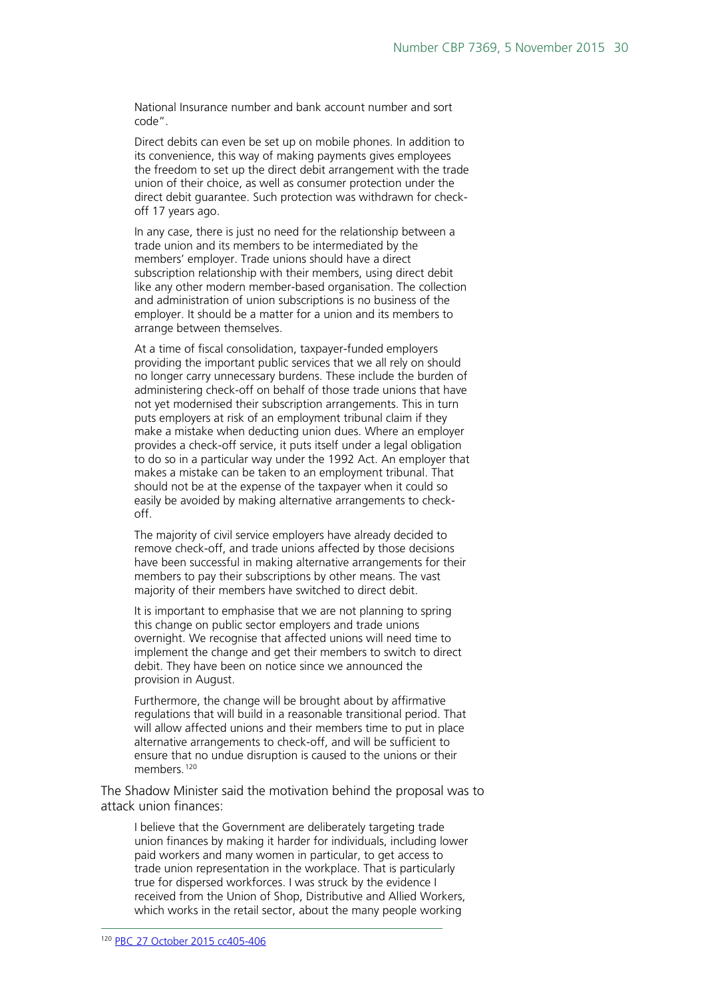National Insurance number and bank account number and sort code".

Direct debits can even be set up on mobile phones. In addition to its convenience, this way of making payments gives employees the freedom to set up the direct debit arrangement with the trade union of their choice, as well as consumer protection under the direct debit guarantee. Such protection was withdrawn for checkoff 17 years ago.

In any case, there is just no need for the relationship between a trade union and its members to be intermediated by the members' employer. Trade unions should have a direct subscription relationship with their members, using direct debit like any other modern member-based organisation. The collection and administration of union subscriptions is no business of the employer. It should be a matter for a union and its members to arrange between themselves.

At a time of fiscal consolidation, taxpayer-funded employers providing the important public services that we all rely on should no longer carry unnecessary burdens. These include the burden of administering check-off on behalf of those trade unions that have not yet modernised their subscription arrangements. This in turn puts employers at risk of an employment tribunal claim if they make a mistake when deducting union dues. Where an employer provides a check-off service, it puts itself under a legal obligation to do so in a particular way under the 1992 Act. An employer that makes a mistake can be taken to an employment tribunal. That should not be at the expense of the taxpayer when it could so easily be avoided by making alternative arrangements to checkoff.

The majority of civil service employers have already decided to remove check-off, and trade unions affected by those decisions have been successful in making alternative arrangements for their members to pay their subscriptions by other means. The vast majority of their members have switched to direct debit.

It is important to emphasise that we are not planning to spring this change on public sector employers and trade unions overnight. We recognise that affected unions will need time to implement the change and get their members to switch to direct debit. They have been on notice since we announced the provision in August.

Furthermore, the change will be brought about by affirmative regulations that will build in a reasonable transitional period. That will allow affected unions and their members time to put in place alternative arrangements to check-off, and will be sufficient to ensure that no undue disruption is caused to the unions or their members.<sup>[120](#page-29-0)</sup>

The Shadow Minister said the motivation behind the proposal was to attack union finances:

<span id="page-29-0"></span>I believe that the Government are deliberately targeting trade union finances by making it harder for individuals, including lower paid workers and many women in particular, to get access to trade union representation in the workplace. That is particularly true for dispersed workforces. I was struck by the evidence I received from the Union of Shop, Distributive and Allied Workers, which works in the retail sector, about the many people working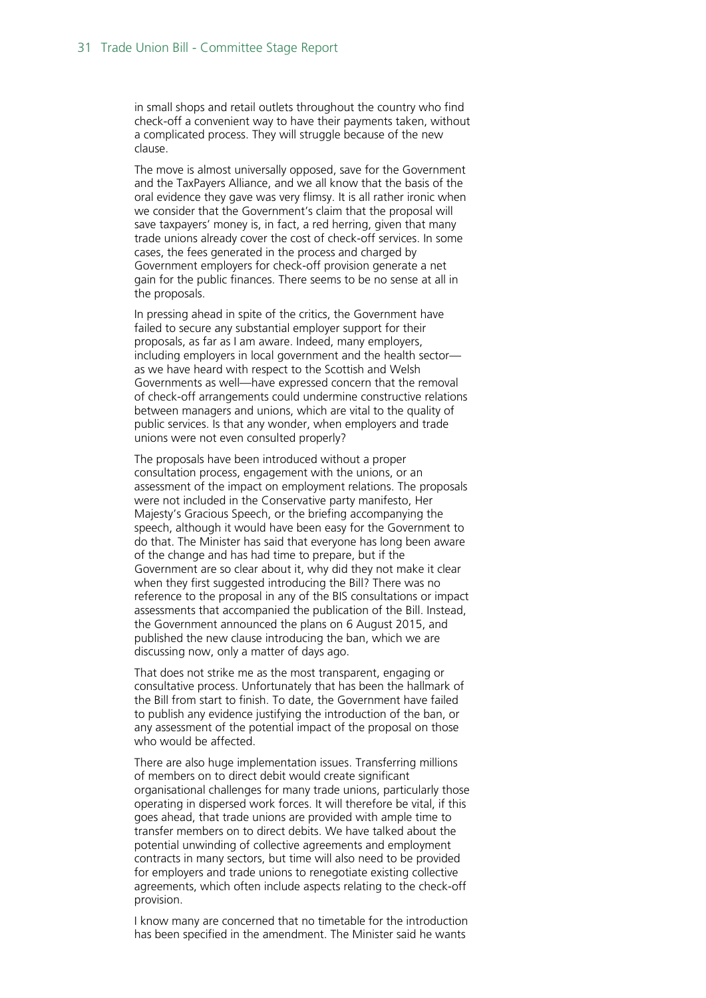in small shops and retail outlets throughout the country who find check-off a convenient way to have their payments taken, without a complicated process. They will struggle because of the new clause.

The move is almost universally opposed, save for the Government and the TaxPayers Alliance, and we all know that the basis of the oral evidence they gave was very flimsy. It is all rather ironic when we consider that the Government's claim that the proposal will save taxpayers' money is, in fact, a red herring, given that many trade unions already cover the cost of check-off services. In some cases, the fees generated in the process and charged by Government employers for check-off provision generate a net gain for the public finances. There seems to be no sense at all in the proposals.

In pressing ahead in spite of the critics, the Government have failed to secure any substantial employer support for their proposals, as far as I am aware. Indeed, many employers, including employers in local government and the health sector as we have heard with respect to the Scottish and Welsh Governments as well—have expressed concern that the removal of check-off arrangements could undermine constructive relations between managers and unions, which are vital to the quality of public services. Is that any wonder, when employers and trade unions were not even consulted properly?

The proposals have been introduced without a proper consultation process, engagement with the unions, or an assessment of the impact on employment relations. The proposals were not included in the Conservative party manifesto, Her Majesty's Gracious Speech, or the briefing accompanying the speech, although it would have been easy for the Government to do that. The Minister has said that everyone has long been aware of the change and has had time to prepare, but if the Government are so clear about it, why did they not make it clear when they first suggested introducing the Bill? There was no reference to the proposal in any of the BIS consultations or impact assessments that accompanied the publication of the Bill. Instead, the Government announced the plans on 6 August 2015, and published the new clause introducing the ban, which we are discussing now, only a matter of days ago.

That does not strike me as the most transparent, engaging or consultative process. Unfortunately that has been the hallmark of the Bill from start to finish. To date, the Government have failed to publish any evidence justifying the introduction of the ban, or any assessment of the potential impact of the proposal on those who would be affected.

There are also huge implementation issues. Transferring millions of members on to direct debit would create significant organisational challenges for many trade unions, particularly those operating in dispersed work forces. It will therefore be vital, if this goes ahead, that trade unions are provided with ample time to transfer members on to direct debits. We have talked about the potential unwinding of collective agreements and employment contracts in many sectors, but time will also need to be provided for employers and trade unions to renegotiate existing collective agreements, which often include aspects relating to the check-off provision.

I know many are concerned that no timetable for the introduction has been specified in the amendment. The Minister said he wants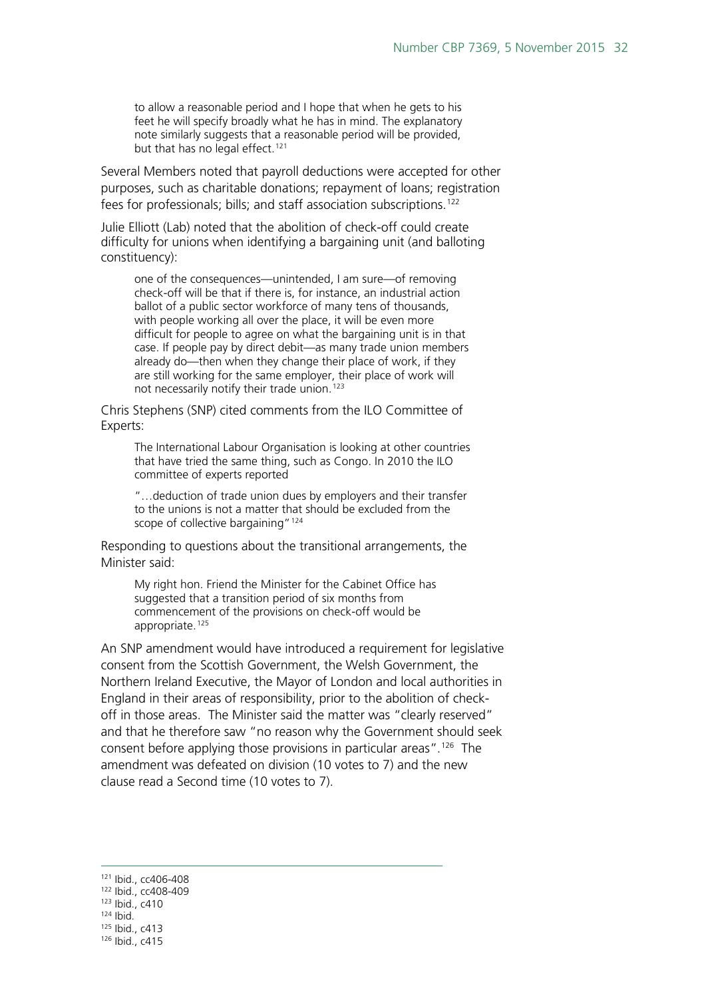to allow a reasonable period and I hope that when he gets to his feet he will specify broadly what he has in mind. The explanatory note similarly suggests that a reasonable period will be provided, but that has no legal effect.<sup>[121](#page-31-0)</sup>

Several Members noted that payroll deductions were accepted for other purposes, such as charitable donations; repayment of loans; registration fees for professionals; bills; and staff association subscriptions.<sup>[122](#page-31-1)</sup>

Julie Elliott (Lab) noted that the abolition of check-off could create difficulty for unions when identifying a bargaining unit (and balloting constituency):

one of the consequences—unintended, I am sure—of removing check-off will be that if there is, for instance, an industrial action ballot of a public sector workforce of many tens of thousands, with people working all over the place, it will be even more difficult for people to agree on what the bargaining unit is in that case. If people pay by direct debit—as many trade union members already do—then when they change their place of work, if they are still working for the same employer, their place of work will not necessarily notify their trade union.<sup>[123](#page-31-2)</sup>

Chris Stephens (SNP) cited comments from the ILO Committee of Experts:

The International Labour Organisation is looking at other countries that have tried the same thing, such as Congo. In 2010 the ILO committee of experts reported

"…deduction of trade union dues by employers and their transfer to the unions is not a matter that should be excluded from the scope of collective bargaining"<sup>[124](#page-31-3)</sup>

Responding to questions about the transitional arrangements, the Minister said:

My right hon. Friend the Minister for the Cabinet Office has suggested that a transition period of six months from commencement of the provisions on check-off would be appropriate.<sup>[125](#page-31-4)</sup>

An SNP amendment would have introduced a requirement for legislative consent from the Scottish Government, the Welsh Government, the Northern Ireland Executive, the Mayor of London and local authorities in England in their areas of responsibility, prior to the abolition of checkoff in those areas. The Minister said the matter was "clearly reserved" and that he therefore saw "no reason why the Government should seek consent before applying those provisions in particular areas".[126](#page-31-5) The amendment was defeated on division (10 votes to 7) and the new clause read a Second time (10 votes to 7).

<span id="page-31-0"></span> <sup>121</sup> Ibid., cc406-408 <sup>122</sup> Ibid., cc408-409

<span id="page-31-2"></span><span id="page-31-1"></span><sup>123</sup> Ibid., c410

<span id="page-31-3"></span> $124$  Ibid.

<sup>125</sup> Ibid., c413

<span id="page-31-5"></span><span id="page-31-4"></span><sup>126</sup> Ibid., c415